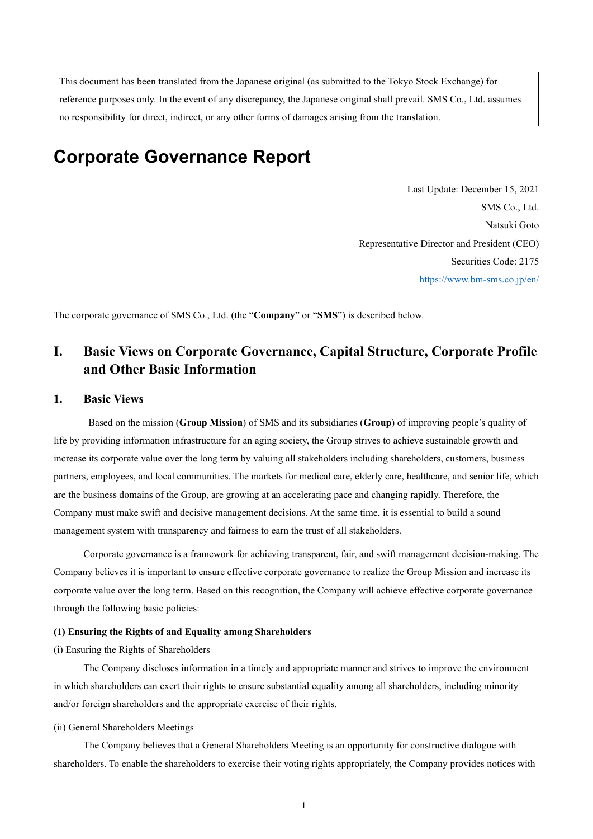This document has been translated from the Japanese original (as submitted to the Tokyo Stock Exchange) for reference purposes only. In the event of any discrepancy, the Japanese original shall prevail. SMS Co., Ltd. assumes no responsibility for direct, indirect, or any other forms of damages arising from the translation.

# **Corporate Governance Report**

Last Update: December 15, 2021 SMS Co., Ltd. Natsuki Goto Representative Director and President (CEO) Securities Code: 2175 <https://www.bm-sms.co.jp/en/>

The corporate governance of SMS Co., Ltd. (the "**Company**" or "**SMS**") is described below.

# **I. Basic Views on Corporate Governance, Capital Structure, Corporate Profile and Other Basic Information**

# **1. Basic Views**

Based on the mission (**Group Mission**) of SMS and its subsidiaries (**Group**) of improving people's quality of life by providing information infrastructure for an aging society, the Group strives to achieve sustainable growth and increase its corporate value over the long term by valuing all stakeholders including shareholders, customers, business partners, employees, and local communities. The markets for medical care, elderly care, healthcare, and senior life, which are the business domains of the Group, are growing at an accelerating pace and changing rapidly. Therefore, the Company must make swift and decisive management decisions. At the same time, it is essential to build a sound management system with transparency and fairness to earn the trust of all stakeholders.

Corporate governance is a framework for achieving transparent, fair, and swift management decision-making. The Company believes it is important to ensure effective corporate governance to realize the Group Mission and increase its corporate value over the long term. Based on this recognition, the Company will achieve effective corporate governance through the following basic policies:

#### **(1) Ensuring the Rights of and Equality among Shareholders**

#### (i) Ensuring the Rights of Shareholders

The Company discloses information in a timely and appropriate manner and strives to improve the environment in which shareholders can exert their rights to ensure substantial equality among all shareholders, including minority and/or foreign shareholders and the appropriate exercise of their rights.

### (ii) General Shareholders Meetings

The Company believes that a General Shareholders Meeting is an opportunity for constructive dialogue with shareholders. To enable the shareholders to exercise their voting rights appropriately, the Company provides notices with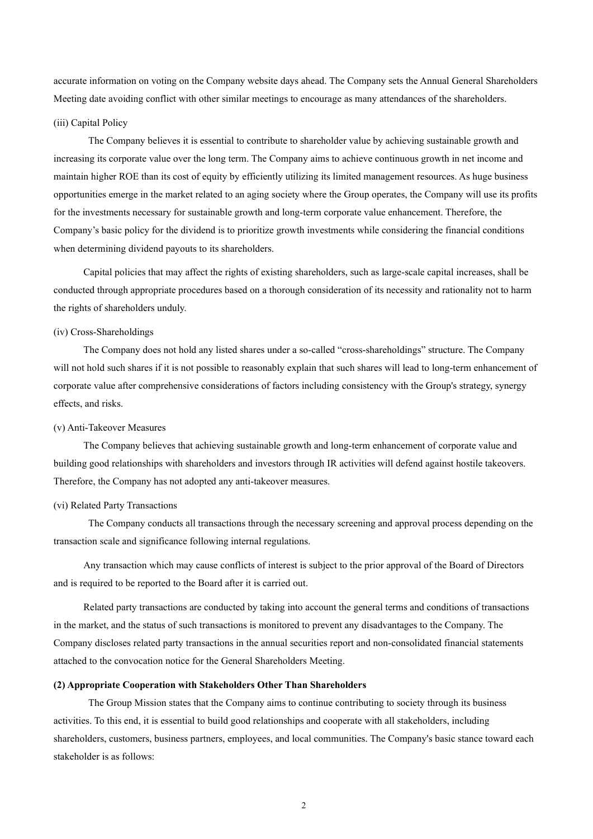accurate information on voting on the Company website days ahead. The Company sets the Annual General Shareholders Meeting date avoiding conflict with other similar meetings to encourage as many attendances of the shareholders.

#### (iii) Capital Policy

The Company believes it is essential to contribute to shareholder value by achieving sustainable growth and increasing its corporate value over the long term. The Company aims to achieve continuous growth in net income and maintain higher ROE than its cost of equity by efficiently utilizing its limited management resources. As huge business opportunities emerge in the market related to an aging society where the Group operates, the Company will use its profits for the investments necessary for sustainable growth and long-term corporate value enhancement. Therefore, the Company's basic policy for the dividend is to prioritize growth investments while considering the financial conditions when determining dividend payouts to its shareholders.

Capital policies that may affect the rights of existing shareholders, such as large-scale capital increases, shall be conducted through appropriate procedures based on a thorough consideration of its necessity and rationality not to harm the rights of shareholders unduly.

#### (iv) Cross-Shareholdings

The Company does not hold any listed shares under a so-called "cross-shareholdings" structure. The Company will not hold such shares if it is not possible to reasonably explain that such shares will lead to long-term enhancement of corporate value after comprehensive considerations of factors including consistency with the Group's strategy, synergy effects, and risks.

#### (v) Anti-Takeover Measures

The Company believes that achieving sustainable growth and long-term enhancement of corporate value and building good relationships with shareholders and investors through IR activities will defend against hostile takeovers. Therefore, the Company has not adopted any anti-takeover measures.

#### (vi) Related Party Transactions

The Company conducts all transactions through the necessary screening and approval process depending on the transaction scale and significance following internal regulations.

Any transaction which may cause conflicts of interest is subject to the prior approval of the Board of Directors and is required to be reported to the Board after it is carried out.

Related party transactions are conducted by taking into account the general terms and conditions of transactions in the market, and the status of such transactions is monitored to prevent any disadvantages to the Company. The Company discloses related party transactions in the annual securities report and non-consolidated financial statements attached to the convocation notice for the General Shareholders Meeting.

#### **(2) Appropriate Cooperation with Stakeholders Other Than Shareholders**

The Group Mission states that the Company aims to continue contributing to society through its business activities. To this end, it is essential to build good relationships and cooperate with all stakeholders, including shareholders, customers, business partners, employees, and local communities. The Company's basic stance toward each stakeholder is as follows: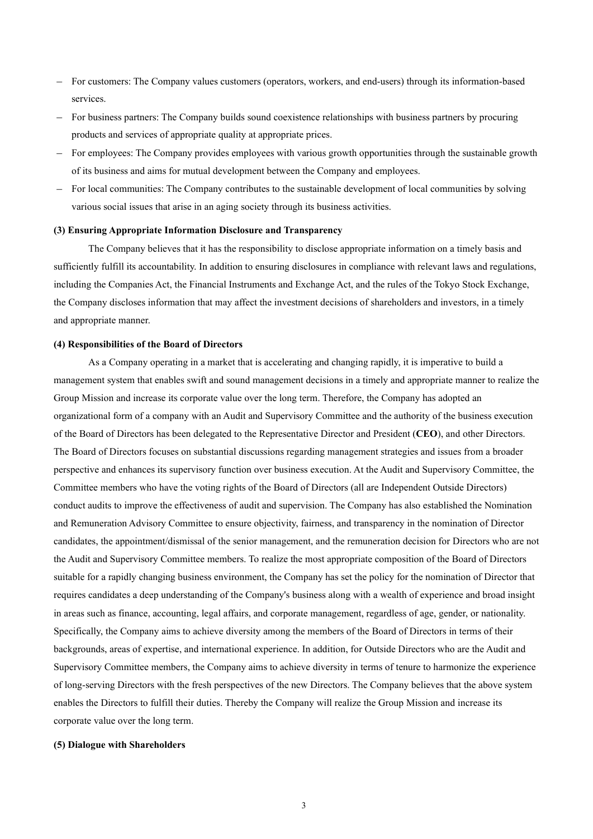- For customers: The Company values customers (operators, workers, and end-users) through its information-based services.
- For business partners: The Company builds sound coexistence relationships with business partners by procuring products and services of appropriate quality at appropriate prices.
- For employees: The Company provides employees with various growth opportunities through the sustainable growth of its business and aims for mutual development between the Company and employees.
- For local communities: The Company contributes to the sustainable development of local communities by solving various social issues that arise in an aging society through its business activities.

#### **(3) Ensuring Appropriate Information Disclosure and Transparency**

The Company believes that it has the responsibility to disclose appropriate information on a timely basis and sufficiently fulfill its accountability. In addition to ensuring disclosures in compliance with relevant laws and regulations, including the Companies Act, the Financial Instruments and Exchange Act, and the rules of the Tokyo Stock Exchange, the Company discloses information that may affect the investment decisions of shareholders and investors, in a timely and appropriate manner.

#### **(4) Responsibilities of the Board of Directors**

As a Company operating in a market that is accelerating and changing rapidly, it is imperative to build a management system that enables swift and sound management decisions in a timely and appropriate manner to realize the Group Mission and increase its corporate value over the long term. Therefore, the Company has adopted an organizational form of a company with an Audit and Supervisory Committee and the authority of the business execution of the Board of Directors has been delegated to the Representative Director and President (**CEO**), and other Directors. The Board of Directors focuses on substantial discussions regarding management strategies and issues from a broader perspective and enhances its supervisory function over business execution. At the Audit and Supervisory Committee, the Committee members who have the voting rights of the Board of Directors (all are Independent Outside Directors) conduct audits to improve the effectiveness of audit and supervision. The Company has also established the Nomination and Remuneration Advisory Committee to ensure objectivity, fairness, and transparency in the nomination of Director candidates, the appointment/dismissal of the senior management, and the remuneration decision for Directors who are not the Audit and Supervisory Committee members. To realize the most appropriate composition of the Board of Directors suitable for a rapidly changing business environment, the Company has set the policy for the nomination of Director that requires candidates a deep understanding of the Company's business along with a wealth of experience and broad insight in areas such as finance, accounting, legal affairs, and corporate management, regardless of age, gender, or nationality. Specifically, the Company aims to achieve diversity among the members of the Board of Directors in terms of their backgrounds, areas of expertise, and international experience. In addition, for Outside Directors who are the Audit and Supervisory Committee members, the Company aims to achieve diversity in terms of tenure to harmonize the experience of long-serving Directors with the fresh perspectives of the new Directors. The Company believes that the above system enables the Directors to fulfill their duties. Thereby the Company will realize the Group Mission and increase its corporate value over the long term.

#### **(5) Dialogue with Shareholders**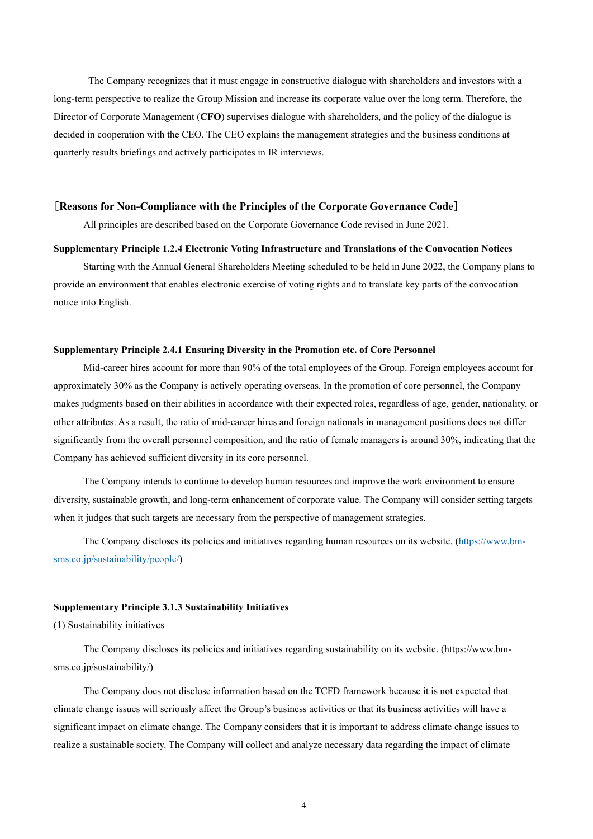The Company recognizes that it must engage in constructive dialogue with shareholders and investors with a long-term perspective to realize the Group Mission and increase its corporate value over the long term. Therefore, the Director of Corporate Management (**CFO**) supervises dialogue with shareholders, and the policy of the dialogue is decided in cooperation with the CEO. The CEO explains the management strategies and the business conditions at quarterly results briefings and actively participates in IR interviews.

#### [**Reasons for Non-Compliance with the Principles of the Corporate Governance Code**]

All principles are described based on the Corporate Governance Code revised in June 2021.

#### **Supplementary Principle 1.2.4 Electronic Voting Infrastructure and Translations of the Convocation Notices**

Starting with the Annual General Shareholders Meeting scheduled to be held in June 2022, the Company plans to provide an environment that enables electronic exercise of voting rights and to translate key parts of the convocation notice into English.

#### **Supplementary Principle 2.4.1 Ensuring Diversity in the Promotion etc. of Core Personnel**

Mid-career hires account for more than 90% of the total employees of the Group. Foreign employees account for approximately 30% as the Company is actively operating overseas. In the promotion of core personnel, the Company makes judgments based on their abilities in accordance with their expected roles, regardless of age, gender, nationality, or other attributes. As a result, the ratio of mid-career hires and foreign nationals in management positions does not differ significantly from the overall personnel composition, and the ratio of female managers is around 30%, indicating that the Company has achieved sufficient diversity in its core personnel.

The Company intends to continue to develop human resources and improve the work environment to ensure diversity, sustainable growth, and long-term enhancement of corporate value. The Company will consider setting targets when it judges that such targets are necessary from the perspective of management strategies.

The Company discloses its policies and initiatives regarding human resources on its website. [\(https://www.bm](https://www.bm-sms.co.jp/sustainability/people/)[sms.co.jp/sustainability/people/\)](https://www.bm-sms.co.jp/sustainability/people/)

### **Supplementary Principle 3.1.3 Sustainability Initiatives**

(1) Sustainability initiatives

The Company discloses its policies and initiatives regarding sustainability on its website. (https://www.bmsms.co.jp/sustainability/)

The Company does not disclose information based on the TCFD framework because it is not expected that climate change issues will seriously affect the Group's business activities or that its business activities will have a significant impact on climate change. The Company considers that it is important to address climate change issues to realize a sustainable society. The Company will collect and analyze necessary data regarding the impact of climate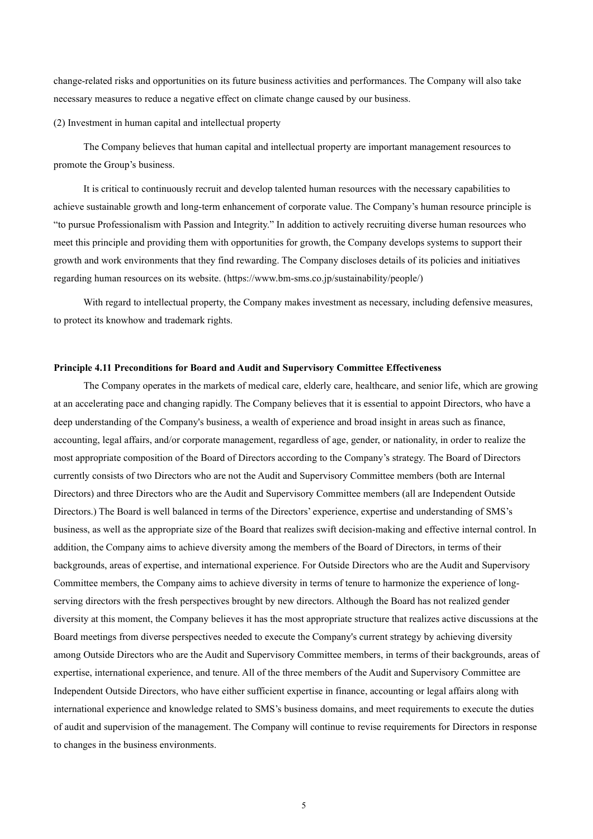change-related risks and opportunities on its future business activities and performances. The Company will also take necessary measures to reduce a negative effect on climate change caused by our business.

(2) Investment in human capital and intellectual property

The Company believes that human capital and intellectual property are important management resources to promote the Group's business.

It is critical to continuously recruit and develop talented human resources with the necessary capabilities to achieve sustainable growth and long-term enhancement of corporate value. The Company's human resource principle is "to pursue Professionalism with Passion and Integrity." In addition to actively recruiting diverse human resources who meet this principle and providing them with opportunities for growth, the Company develops systems to support their growth and work environments that they find rewarding. The Company discloses details of its policies and initiatives regarding human resources on its website. (https://www.bm-sms.co.jp/sustainability/people/)

With regard to intellectual property, the Company makes investment as necessary, including defensive measures, to protect its knowhow and trademark rights.

## **Principle 4.11 Preconditions for Board and Audit and Supervisory Committee Effectiveness**

The Company operates in the markets of medical care, elderly care, healthcare, and senior life, which are growing at an accelerating pace and changing rapidly. The Company believes that it is essential to appoint Directors, who have a deep understanding of the Company's business, a wealth of experience and broad insight in areas such as finance, accounting, legal affairs, and/or corporate management, regardless of age, gender, or nationality, in order to realize the most appropriate composition of the Board of Directors according to the Company's strategy. The Board of Directors currently consists of two Directors who are not the Audit and Supervisory Committee members (both are Internal Directors) and three Directors who are the Audit and Supervisory Committee members (all are Independent Outside Directors.) The Board is well balanced in terms of the Directors' experience, expertise and understanding of SMS's business, as well as the appropriate size of the Board that realizes swift decision-making and effective internal control. In addition, the Company aims to achieve diversity among the members of the Board of Directors, in terms of their backgrounds, areas of expertise, and international experience. For Outside Directors who are the Audit and Supervisory Committee members, the Company aims to achieve diversity in terms of tenure to harmonize the experience of longserving directors with the fresh perspectives brought by new directors. Although the Board has not realized gender diversity at this moment, the Company believes it has the most appropriate structure that realizes active discussions at the Board meetings from diverse perspectives needed to execute the Company's current strategy by achieving diversity among Outside Directors who are the Audit and Supervisory Committee members, in terms of their backgrounds, areas of expertise, international experience, and tenure. All of the three members of the Audit and Supervisory Committee are Independent Outside Directors, who have either sufficient expertise in finance, accounting or legal affairs along with international experience and knowledge related to SMS's business domains, and meet requirements to execute the duties of audit and supervision of the management. The Company will continue to revise requirements for Directors in response to changes in the business environments.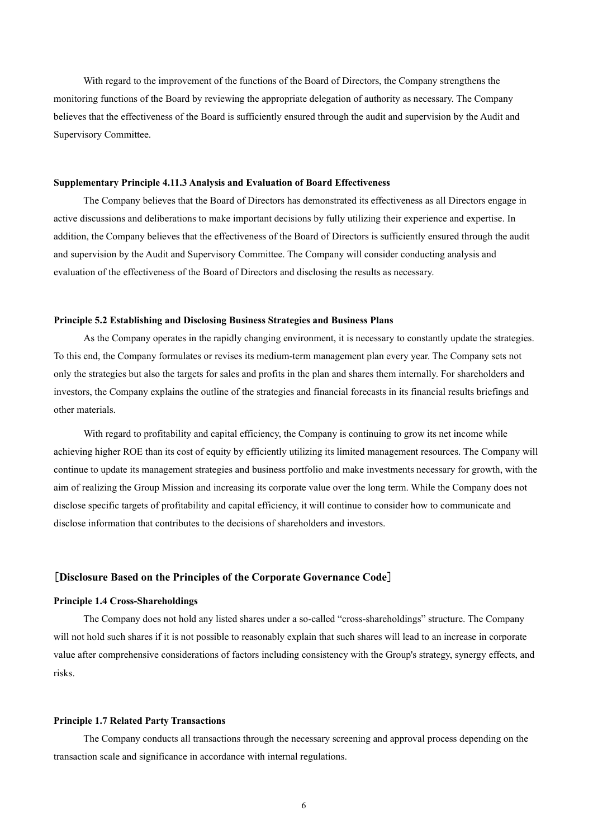With regard to the improvement of the functions of the Board of Directors, the Company strengthens the monitoring functions of the Board by reviewing the appropriate delegation of authority as necessary. The Company believes that the effectiveness of the Board is sufficiently ensured through the audit and supervision by the Audit and Supervisory Committee.

#### **Supplementary Principle 4.11.3 Analysis and Evaluation of Board Effectiveness**

The Company believes that the Board of Directors has demonstrated its effectiveness as all Directors engage in active discussions and deliberations to make important decisions by fully utilizing their experience and expertise. In addition, the Company believes that the effectiveness of the Board of Directors is sufficiently ensured through the audit and supervision by the Audit and Supervisory Committee. The Company will consider conducting analysis and evaluation of the effectiveness of the Board of Directors and disclosing the results as necessary.

#### **Principle 5.2 Establishing and Disclosing Business Strategies and Business Plans**

As the Company operates in the rapidly changing environment, it is necessary to constantly update the strategies. To this end, the Company formulates or revises its medium-term management plan every year. The Company sets not only the strategies but also the targets for sales and profits in the plan and shares them internally. For shareholders and investors, the Company explains the outline of the strategies and financial forecasts in its financial results briefings and other materials.

With regard to profitability and capital efficiency, the Company is continuing to grow its net income while achieving higher ROE than its cost of equity by efficiently utilizing its limited management resources. The Company will continue to update its management strategies and business portfolio and make investments necessary for growth, with the aim of realizing the Group Mission and increasing its corporate value over the long term. While the Company does not disclose specific targets of profitability and capital efficiency, it will continue to consider how to communicate and disclose information that contributes to the decisions of shareholders and investors.

## [**Disclosure Based on the Principles of the Corporate Governance Code**]

#### **Principle 1.4 Cross-Shareholdings**

The Company does not hold any listed shares under a so-called "cross-shareholdings" structure. The Company will not hold such shares if it is not possible to reasonably explain that such shares will lead to an increase in corporate value after comprehensive considerations of factors including consistency with the Group's strategy, synergy effects, and risks.

#### **Principle 1.7 Related Party Transactions**

The Company conducts all transactions through the necessary screening and approval process depending on the transaction scale and significance in accordance with internal regulations.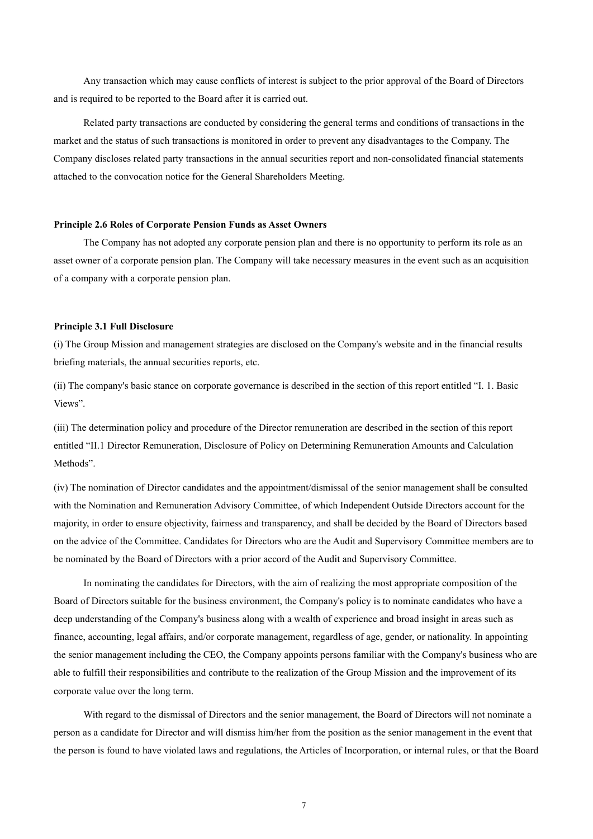Any transaction which may cause conflicts of interest is subject to the prior approval of the Board of Directors and is required to be reported to the Board after it is carried out.

Related party transactions are conducted by considering the general terms and conditions of transactions in the market and the status of such transactions is monitored in order to prevent any disadvantages to the Company. The Company discloses related party transactions in the annual securities report and non-consolidated financial statements attached to the convocation notice for the General Shareholders Meeting.

#### **Principle 2.6 Roles of Corporate Pension Funds as Asset Owners**

The Company has not adopted any corporate pension plan and there is no opportunity to perform its role as an asset owner of a corporate pension plan. The Company will take necessary measures in the event such as an acquisition of a company with a corporate pension plan.

#### **Principle 3.1 Full Disclosure**

(i) The Group Mission and management strategies are disclosed on the Company's website and in the financial results briefing materials, the annual securities reports, etc.

(ii) The company's basic stance on corporate governance is described in the section of this report entitled "Ⅰ. 1. Basic Views".

(iii) The determination policy and procedure of the Director remuneration are described in the section of this report entitled "II.1 Director Remuneration, Disclosure of Policy on Determining Remuneration Amounts and Calculation Methods".

(iv) The nomination of Director candidates and the appointment/dismissal of the senior management shall be consulted with the Nomination and Remuneration Advisory Committee, of which Independent Outside Directors account for the majority, in order to ensure objectivity, fairness and transparency, and shall be decided by the Board of Directors based on the advice of the Committee. Candidates for Directors who are the Audit and Supervisory Committee members are to be nominated by the Board of Directors with a prior accord of the Audit and Supervisory Committee.

In nominating the candidates for Directors, with the aim of realizing the most appropriate composition of the Board of Directors suitable for the business environment, the Company's policy is to nominate candidates who have a deep understanding of the Company's business along with a wealth of experience and broad insight in areas such as finance, accounting, legal affairs, and/or corporate management, regardless of age, gender, or nationality. In appointing the senior management including the CEO, the Company appoints persons familiar with the Company's business who are able to fulfill their responsibilities and contribute to the realization of the Group Mission and the improvement of its corporate value over the long term.

With regard to the dismissal of Directors and the senior management, the Board of Directors will not nominate a person as a candidate for Director and will dismiss him/her from the position as the senior management in the event that the person is found to have violated laws and regulations, the Articles of Incorporation, or internal rules, or that the Board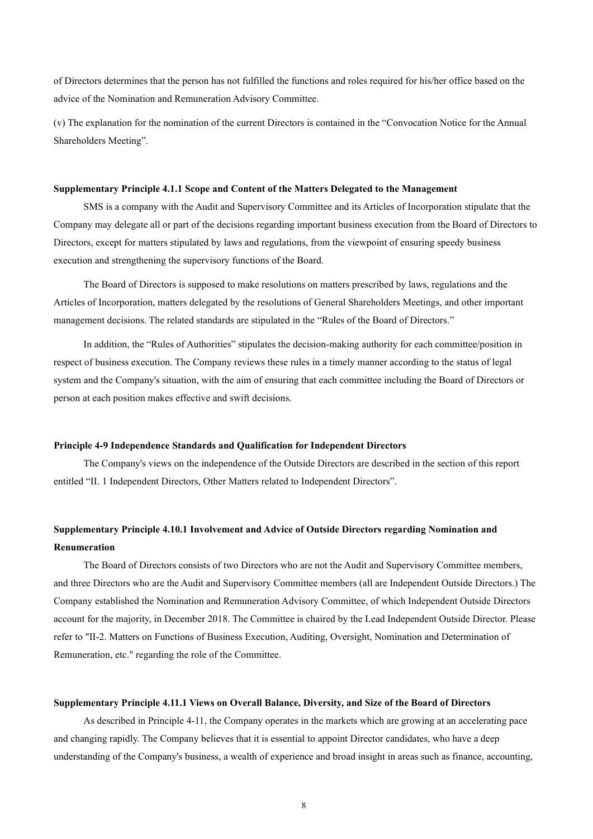of Directors determines that the person has not fulfilled the functions and roles required for his/her office based on the advice of the Nomination and Remuneration Advisory Committee.

(v) The explanation for the nomination of the current Directors is contained in the "Convocation Notice for the Annual Shareholders Meeting".

#### **Supplementary Principle 4.1.1 Scope and Content of the Matters Delegated to the Management**

SMS is a company with the Audit and Supervisory Committee and its Articles of Incorporation stipulate that the Company may delegate all or part of the decisions regarding important business execution from the Board of Directors to Directors, except for matters stipulated by laws and regulations, from the viewpoint of ensuring speedy business execution and strengthening the supervisory functions of the Board.

The Board of Directors is supposed to make resolutions on matters prescribed by laws, regulations and the Articles of Incorporation, matters delegated by the resolutions of General Shareholders Meetings, and other important management decisions. The related standards are stipulated in the "Rules of the Board of Directors."

In addition, the "Rules of Authorities" stipulates the decision-making authority for each committee/position in respect of business execution. The Company reviews these rules in a timely manner according to the status of legal system and the Company's situation, with the aim of ensuring that each committee including the Board of Directors or person at each position makes effective and swift decisions.

#### **Principle 4-9 Independence Standards and Qualification for Independent Directors**

The Company's views on the independence of the Outside Directors are described in the section of this report entitled "II. 1 Independent Directors, Other Matters related to Independent Directors".

# **Supplementary Principle 4.10.1 Involvement and Advice of Outside Directors regarding Nomination and Renumeration**

The Board of Directors consists of two Directors who are not the Audit and Supervisory Committee members, and three Directors who are the Audit and Supervisory Committee members (all are Independent Outside Directors.) The Company established the Nomination and Remuneration Advisory Committee, of which Independent Outside Directors account for the majority, in December 2018. The Committee is chaired by the Lead Independent Outside Director. Please refer to "II-2. Matters on Functions of Business Execution, Auditing, Oversight, Nomination and Determination of Remuneration, etc." regarding the role of the Committee.

#### **Supplementary Principle 4.11.1 Views on Overall Balance, Diversity, and Size of the Board of Directors**

As described in Principle 4-11, the Company operates in the markets which are growing at an accelerating pace and changing rapidly. The Company believes that it is essential to appoint Director candidates, who have a deep understanding of the Company's business, a wealth of experience and broad insight in areas such as finance, accounting,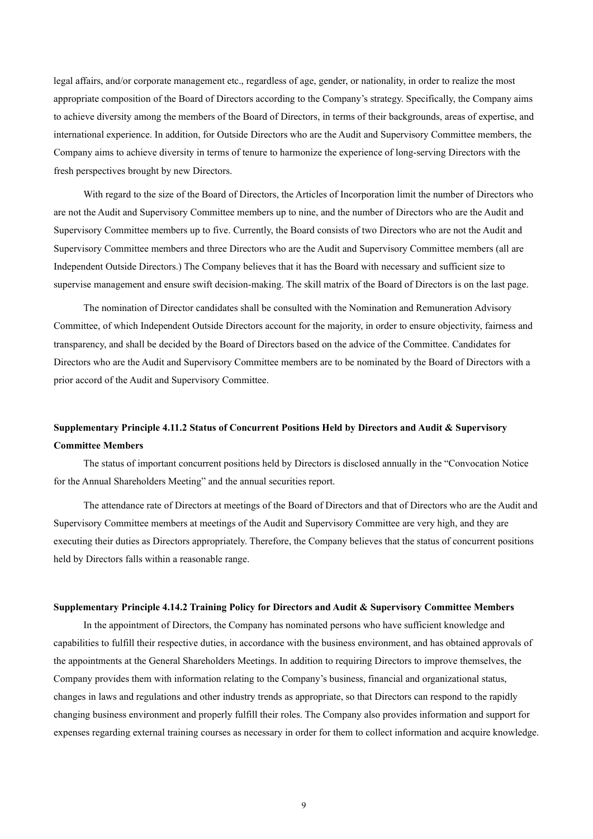legal affairs, and/or corporate management etc., regardless of age, gender, or nationality, in order to realize the most appropriate composition of the Board of Directors according to the Company's strategy. Specifically, the Company aims to achieve diversity among the members of the Board of Directors, in terms of their backgrounds, areas of expertise, and international experience. In addition, for Outside Directors who are the Audit and Supervisory Committee members, the Company aims to achieve diversity in terms of tenure to harmonize the experience of long-serving Directors with the fresh perspectives brought by new Directors.

With regard to the size of the Board of Directors, the Articles of Incorporation limit the number of Directors who are not the Audit and Supervisory Committee members up to nine, and the number of Directors who are the Audit and Supervisory Committee members up to five. Currently, the Board consists of two Directors who are not the Audit and Supervisory Committee members and three Directors who are the Audit and Supervisory Committee members (all are Independent Outside Directors.) The Company believes that it has the Board with necessary and sufficient size to supervise management and ensure swift decision-making. The skill matrix of the Board of Directors is on the last page.

The nomination of Director candidates shall be consulted with the Nomination and Remuneration Advisory Committee, of which Independent Outside Directors account for the majority, in order to ensure objectivity, fairness and transparency, and shall be decided by the Board of Directors based on the advice of the Committee. Candidates for Directors who are the Audit and Supervisory Committee members are to be nominated by the Board of Directors with a prior accord of the Audit and Supervisory Committee.

# **Supplementary Principle 4.11.2 Status of Concurrent Positions Held by Directors and Audit & Supervisory Committee Members**

The status of important concurrent positions held by Directors is disclosed annually in the "Convocation Notice for the Annual Shareholders Meeting" and the annual securities report.

The attendance rate of Directors at meetings of the Board of Directors and that of Directors who are the Audit and Supervisory Committee members at meetings of the Audit and Supervisory Committee are very high, and they are executing their duties as Directors appropriately. Therefore, the Company believes that the status of concurrent positions held by Directors falls within a reasonable range.

#### **Supplementary Principle 4.14.2 Training Policy for Directors and Audit & Supervisory Committee Members**

In the appointment of Directors, the Company has nominated persons who have sufficient knowledge and capabilities to fulfill their respective duties, in accordance with the business environment, and has obtained approvals of the appointments at the General Shareholders Meetings. In addition to requiring Directors to improve themselves, the Company provides them with information relating to the Company's business, financial and organizational status, changes in laws and regulations and other industry trends as appropriate, so that Directors can respond to the rapidly changing business environment and properly fulfill their roles. The Company also provides information and support for expenses regarding external training courses as necessary in order for them to collect information and acquire knowledge.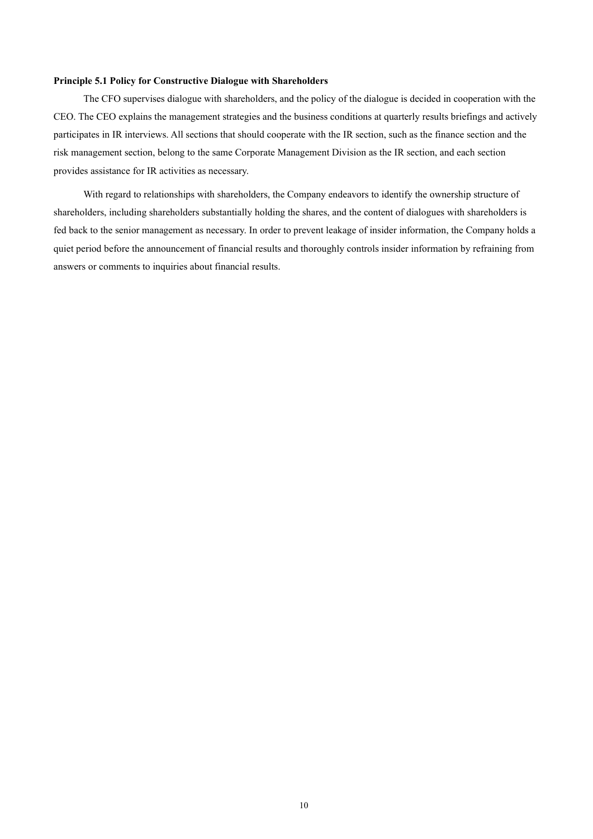#### **Principle 5.1 Policy for Constructive Dialogue with Shareholders**

The CFO supervises dialogue with shareholders, and the policy of the dialogue is decided in cooperation with the CEO. The CEO explains the management strategies and the business conditions at quarterly results briefings and actively participates in IR interviews. All sections that should cooperate with the IR section, such as the finance section and the risk management section, belong to the same Corporate Management Division as the IR section, and each section provides assistance for IR activities as necessary.

With regard to relationships with shareholders, the Company endeavors to identify the ownership structure of shareholders, including shareholders substantially holding the shares, and the content of dialogues with shareholders is fed back to the senior management as necessary. In order to prevent leakage of insider information, the Company holds a quiet period before the announcement of financial results and thoroughly controls insider information by refraining from answers or comments to inquiries about financial results.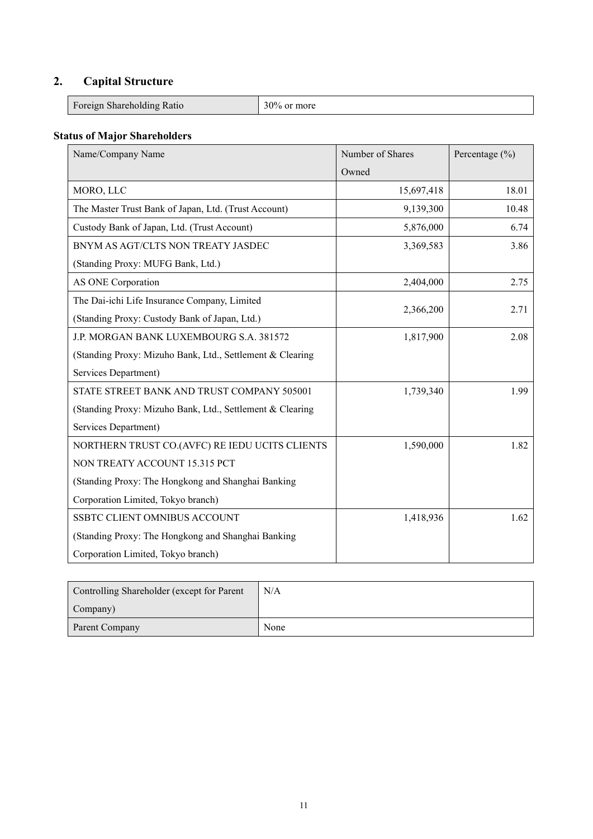# **2. Capital Structure**

| <b>COMPANY</b><br>$\mathbf{r}$<br>rtatio<br>$1 \text{ of } \mathcal{L}_{\text{in}}$ | 200. |
|-------------------------------------------------------------------------------------|------|
|                                                                                     |      |

# **Status of Major Shareholders**

| Name/Company Name                                         | Number of Shares | Percentage $(\% )$ |
|-----------------------------------------------------------|------------------|--------------------|
|                                                           | Owned            |                    |
| MORO, LLC                                                 | 15,697,418       | 18.01              |
| The Master Trust Bank of Japan, Ltd. (Trust Account)      | 9,139,300        | 10.48              |
| Custody Bank of Japan, Ltd. (Trust Account)               | 5,876,000        | 6.74               |
| BNYM AS AGT/CLTS NON TREATY JASDEC                        | 3,369,583        | 3.86               |
| (Standing Proxy: MUFG Bank, Ltd.)                         |                  |                    |
| AS ONE Corporation                                        | 2,404,000        | 2.75               |
| The Dai-ichi Life Insurance Company, Limited              |                  |                    |
| (Standing Proxy: Custody Bank of Japan, Ltd.)             | 2,366,200        | 2.71               |
| J.P. MORGAN BANK LUXEMBOURG S.A. 381572                   | 1,817,900        | 2.08               |
| (Standing Proxy: Mizuho Bank, Ltd., Settlement & Clearing |                  |                    |
| Services Department)                                      |                  |                    |
| STATE STREET BANK AND TRUST COMPANY 505001                | 1,739,340        | 1.99               |
| (Standing Proxy: Mizuho Bank, Ltd., Settlement & Clearing |                  |                    |
| Services Department)                                      |                  |                    |
| NORTHERN TRUST CO.(AVFC) RE IEDU UCITS CLIENTS            | 1,590,000        | 1.82               |
| NON TREATY ACCOUNT 15.315 PCT                             |                  |                    |
| (Standing Proxy: The Hongkong and Shanghai Banking        |                  |                    |
| Corporation Limited, Tokyo branch)                        |                  |                    |
| SSBTC CLIENT OMNIBUS ACCOUNT                              | 1,418,936        | 1.62               |
| (Standing Proxy: The Hongkong and Shanghai Banking        |                  |                    |
| Corporation Limited, Tokyo branch)                        |                  |                    |

| Controlling Shareholder (except for Parent | N/A  |
|--------------------------------------------|------|
| Company)                                   |      |
| Parent Company                             | None |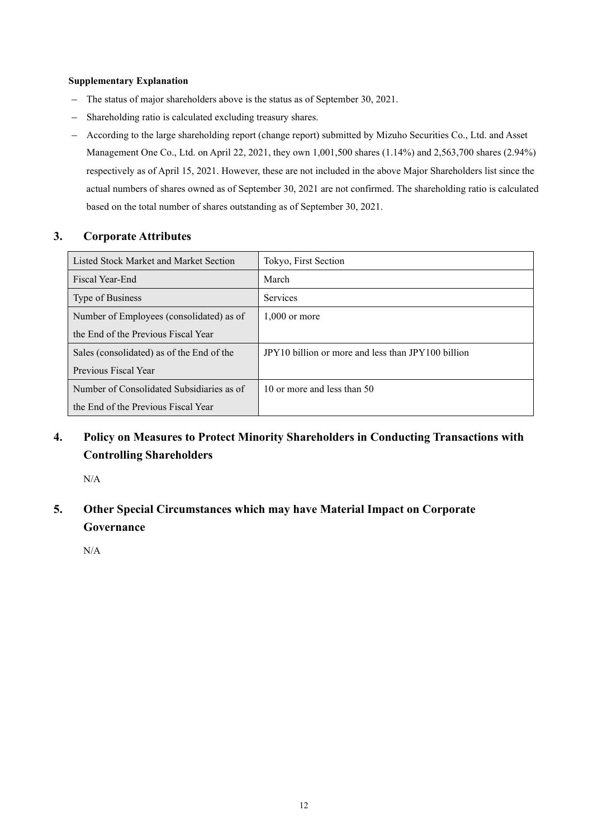# **Supplementary Explanation**

- The status of major shareholders above is the status as of September 30, 2021.
- Shareholding ratio is calculated excluding treasury shares.
- According to the large shareholding report (change report) submitted by Mizuho Securities Co., Ltd. and Asset Management One Co., Ltd. on April 22, 2021, they own 1,001,500 shares (1.14%) and 2,563,700 shares (2.94%) respectively as of April 15, 2021. However, these are not included in the above Major Shareholders list since the actual numbers of shares owned as of September 30, 2021 are not confirmed. The shareholding ratio is calculated based on the total number of shares outstanding as of September 30, 2021.

# **3. Corporate Attributes**

| Listed Stock Market and Market Section    | Tokyo, First Section                               |
|-------------------------------------------|----------------------------------------------------|
| Fiscal Year-End                           | March                                              |
| Type of Business                          | <b>Services</b>                                    |
| Number of Employees (consolidated) as of  | $1,000$ or more                                    |
| the End of the Previous Fiscal Year       |                                                    |
| Sales (consolidated) as of the End of the | JPY10 billion or more and less than JPY100 billion |
| Previous Fiscal Year                      |                                                    |
| Number of Consolidated Subsidiaries as of | 10 or more and less than 50                        |
| the End of the Previous Fiscal Year       |                                                    |

# **4. Policy on Measures to Protect Minority Shareholders in Conducting Transactions with Controlling Shareholders**

N/A

**5. Other Special Circumstances which may have Material Impact on Corporate Governance**

N/A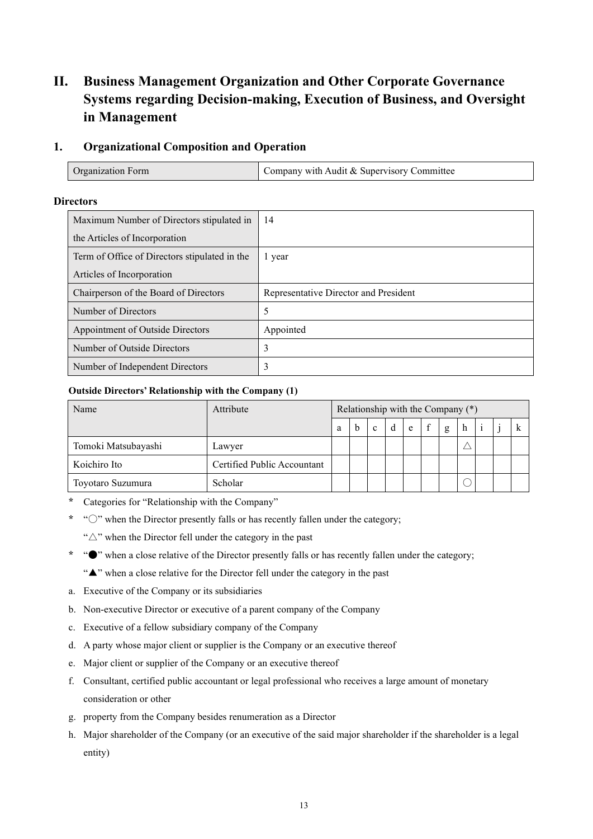# **II. Business Management Organization and Other Corporate Governance Systems regarding Decision-making, Execution of Business, and Oversight in Management**

# **1. Organizational Composition and Operation**

| Organization Form | Company with Audit & Supervisory Committee |
|-------------------|--------------------------------------------|
|-------------------|--------------------------------------------|

## **Directors**

| Maximum Number of Directors stipulated in     | 14                                    |
|-----------------------------------------------|---------------------------------------|
| the Articles of Incorporation                 |                                       |
| Term of Office of Directors stipulated in the | l year                                |
| Articles of Incorporation                     |                                       |
| Chairperson of the Board of Directors         | Representative Director and President |
| Number of Directors                           | 5                                     |
| Appointment of Outside Directors              | Appointed                             |
| Number of Outside Directors                   | 3                                     |
| Number of Independent Directors               | 3                                     |

## **Outside Directors' Relationship with the Company (1)**

| Name                | Attribute                   | Relationship with the Company (*) |  |              |   |   |             |   |   |  |  |
|---------------------|-----------------------------|-----------------------------------|--|--------------|---|---|-------------|---|---|--|--|
|                     |                             | a                                 |  | $\mathbf{c}$ | d | e | $\mathbf f$ | g | h |  |  |
| Tomoki Matsubayashi | Lawyer                      |                                   |  |              |   |   |             |   |   |  |  |
| Koichiro Ito        | Certified Public Accountant |                                   |  |              |   |   |             |   |   |  |  |
| Toyotaro Suzumura   | Scholar                     |                                   |  |              |   |   |             |   |   |  |  |

- \* Categories for "Relationship with the Company"
- \* " $\circlearrowright$ " when the Director presently falls or has recently fallen under the category;

"△" when the Director fell under the category in the past

- \* "●" when a close relative of the Director presently falls or has recently fallen under the category;
	- "▲" when a close relative for the Director fell under the category in the past
- a. Executive of the Company or its subsidiaries
- b. Non-executive Director or executive of a parent company of the Company
- c. Executive of a fellow subsidiary company of the Company
- d. A party whose major client or supplier is the Company or an executive thereof
- e. Major client or supplier of the Company or an executive thereof
- f. Consultant, certified public accountant or legal professional who receives a large amount of monetary consideration or other
- g. property from the Company besides renumeration as a Director
- h. Major shareholder of the Company (or an executive of the said major shareholder if the shareholder is a legal entity)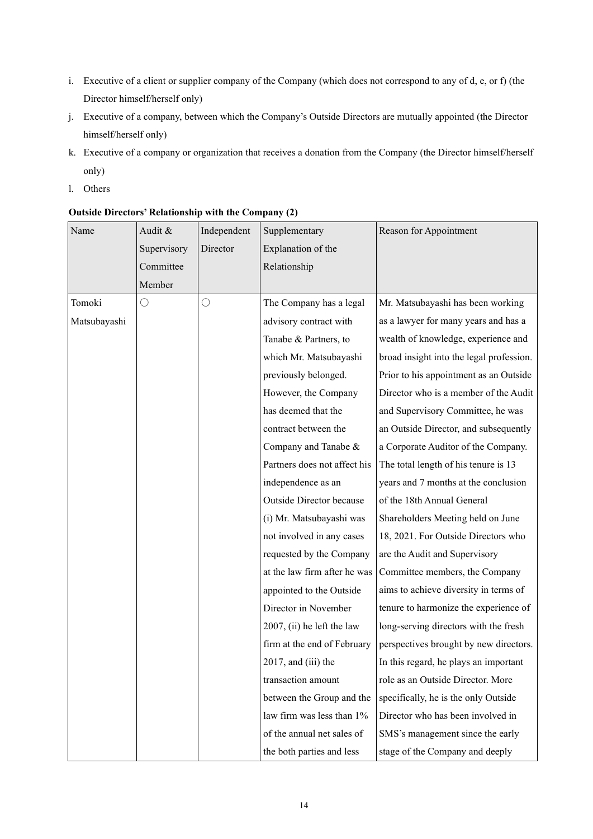- i. Executive of a client or supplier company of the Company (which does not correspond to any of d, e, or f) (the Director himself/herself only)
- j. Executive of a company, between which the Company's Outside Directors are mutually appointed (the Director himself/herself only)
- k. Executive of a company or organization that receives a donation from the Company (the Director himself/herself only)
- l. Others

| Name         | Audit &     | Independent | Supplementary                | Reason for Appointment                   |
|--------------|-------------|-------------|------------------------------|------------------------------------------|
|              | Supervisory | Director    | Explanation of the           |                                          |
|              | Committee   |             | Relationship                 |                                          |
|              | Member      |             |                              |                                          |
| Tomoki       | $\bigcirc$  | $\bigcirc$  | The Company has a legal      | Mr. Matsubayashi has been working        |
| Matsubayashi |             |             | advisory contract with       | as a lawyer for many years and has a     |
|              |             |             | Tanabe & Partners, to        | wealth of knowledge, experience and      |
|              |             |             | which Mr. Matsubayashi       | broad insight into the legal profession. |
|              |             |             | previously belonged.         | Prior to his appointment as an Outside   |
|              |             |             | However, the Company         | Director who is a member of the Audit    |
|              |             |             | has deemed that the          | and Supervisory Committee, he was        |
|              |             |             | contract between the         | an Outside Director, and subsequently    |
|              |             |             | Company and Tanabe &         | a Corporate Auditor of the Company.      |
|              |             |             | Partners does not affect his | The total length of his tenure is 13     |
|              |             |             | independence as an           | years and 7 months at the conclusion     |
|              |             |             | Outside Director because     | of the 18th Annual General               |
|              |             |             | (i) Mr. Matsubayashi was     | Shareholders Meeting held on June        |
|              |             |             | not involved in any cases    | 18, 2021. For Outside Directors who      |
|              |             |             | requested by the Company     | are the Audit and Supervisory            |
|              |             |             | at the law firm after he was | Committee members, the Company           |
|              |             |             | appointed to the Outside     | aims to achieve diversity in terms of    |
|              |             |             | Director in November         | tenure to harmonize the experience of    |
|              |             |             | 2007, (ii) he left the law   | long-serving directors with the fresh    |
|              |             |             | firm at the end of February  | perspectives brought by new directors.   |
|              |             |             | 2017, and (iii) the          | In this regard, he plays an important    |
|              |             |             | transaction amount           | role as an Outside Director. More        |
|              |             |             | between the Group and the    | specifically, he is the only Outside     |
|              |             |             | law firm was less than 1%    | Director who has been involved in        |
|              |             |             | of the annual net sales of   | SMS's management since the early         |
|              |             |             | the both parties and less    | stage of the Company and deeply          |

# **Outside Directors' Relationship with the Company (2)**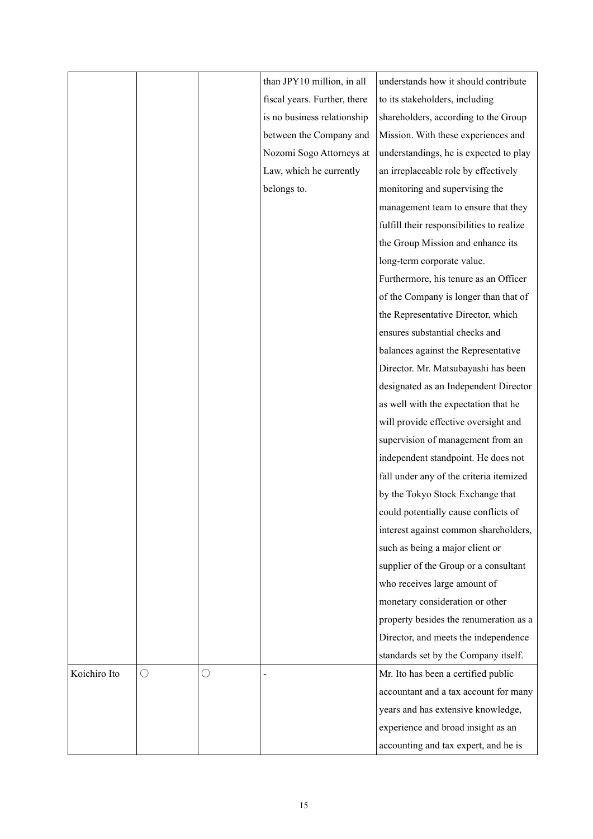|              |   |            | than JPY10 million, in all   | understands how it should contribute      |
|--------------|---|------------|------------------------------|-------------------------------------------|
|              |   |            | fiscal years. Further, there | to its stakeholders, including            |
|              |   |            | is no business relationship  | shareholders, according to the Group      |
|              |   |            | between the Company and      | Mission. With these experiences and       |
|              |   |            | Nozomi Sogo Attorneys at     | understandings, he is expected to play    |
|              |   |            | Law, which he currently      | an irreplaceable role by effectively      |
|              |   |            | belongs to.                  | monitoring and supervising the            |
|              |   |            |                              | management team to ensure that they       |
|              |   |            |                              | fulfill their responsibilities to realize |
|              |   |            |                              | the Group Mission and enhance its         |
|              |   |            |                              | long-term corporate value.                |
|              |   |            |                              | Furthermore, his tenure as an Officer     |
|              |   |            |                              | of the Company is longer than that of     |
|              |   |            |                              | the Representative Director, which        |
|              |   |            |                              | ensures substantial checks and            |
|              |   |            |                              | balances against the Representative       |
|              |   |            |                              | Director. Mr. Matsubayashi has been       |
|              |   |            |                              | designated as an Independent Director     |
|              |   |            |                              | as well with the expectation that he      |
|              |   |            |                              | will provide effective oversight and      |
|              |   |            |                              | supervision of management from an         |
|              |   |            |                              | independent standpoint. He does not       |
|              |   |            |                              | fall under any of the criteria itemized   |
|              |   |            |                              | by the Tokyo Stock Exchange that          |
|              |   |            |                              | could potentially cause conflicts of      |
|              |   |            |                              | interest against common shareholders,     |
|              |   |            |                              | such as being a major client or           |
|              |   |            |                              | supplier of the Group or a consultant     |
|              |   |            |                              | who receives large amount of              |
|              |   |            |                              | monetary consideration or other           |
|              |   |            |                              | property besides the renumeration as a    |
|              |   |            |                              | Director, and meets the independence      |
|              |   |            |                              | standards set by the Company itself.      |
| Koichiro Ito | О | $\bigcirc$ |                              | Mr. Ito has been a certified public       |
|              |   |            |                              | accountant and a tax account for many     |
|              |   |            |                              | years and has extensive knowledge,        |
|              |   |            |                              | experience and broad insight as an        |
|              |   |            |                              | accounting and tax expert, and he is      |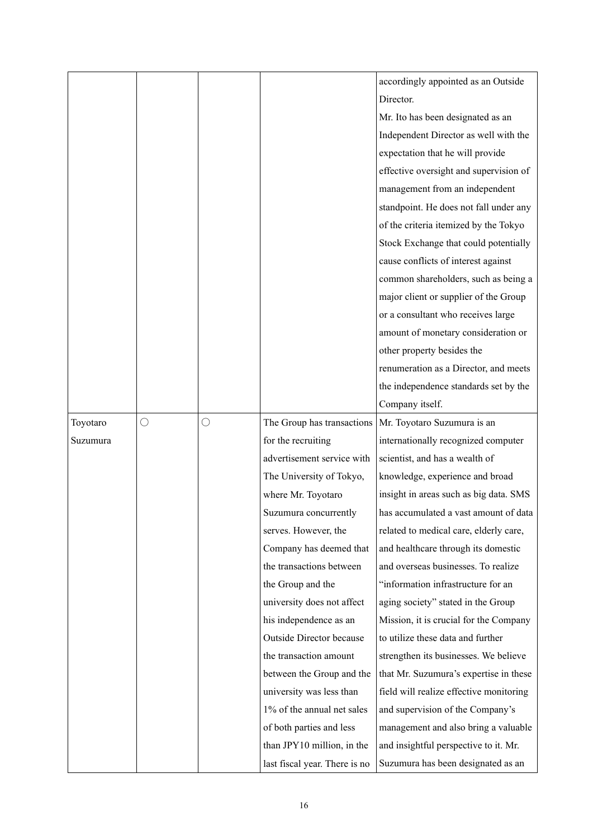|          |   |   |                               | accordingly appointed as an Outside     |
|----------|---|---|-------------------------------|-----------------------------------------|
|          |   |   |                               | Director.                               |
|          |   |   |                               | Mr. Ito has been designated as an       |
|          |   |   |                               | Independent Director as well with the   |
|          |   |   |                               | expectation that he will provide        |
|          |   |   |                               | effective oversight and supervision of  |
|          |   |   |                               | management from an independent          |
|          |   |   |                               | standpoint. He does not fall under any  |
|          |   |   |                               | of the criteria itemized by the Tokyo   |
|          |   |   |                               | Stock Exchange that could potentially   |
|          |   |   |                               | cause conflicts of interest against     |
|          |   |   |                               | common shareholders, such as being a    |
|          |   |   |                               | major client or supplier of the Group   |
|          |   |   |                               | or a consultant who receives large      |
|          |   |   |                               | amount of monetary consideration or     |
|          |   |   |                               | other property besides the              |
|          |   |   |                               | renumeration as a Director, and meets   |
|          |   |   |                               | the independence standards set by the   |
|          |   |   |                               | Company itself.                         |
| Toyotaro | O | O | The Group has transactions    | Mr. Toyotaro Suzumura is an             |
| Suzumura |   |   | for the recruiting            | internationally recognized computer     |
|          |   |   | advertisement service with    | scientist, and has a wealth of          |
|          |   |   | The University of Tokyo,      | knowledge, experience and broad         |
|          |   |   | where Mr. Toyotaro            | insight in areas such as big data. SMS  |
|          |   |   | Suzumura concurrently         | has accumulated a vast amount of data   |
|          |   |   | serves. However, the          | related to medical care, elderly care,  |
|          |   |   | Company has deemed that       | and healthcare through its domestic     |
|          |   |   | the transactions between      | and overseas businesses. To realize     |
|          |   |   | the Group and the             | "information infrastructure for an      |
|          |   |   | university does not affect    | aging society" stated in the Group      |
|          |   |   | his independence as an        | Mission, it is crucial for the Company  |
|          |   |   | Outside Director because      | to utilize these data and further       |
|          |   |   | the transaction amount        | strengthen its businesses. We believe   |
|          |   |   | between the Group and the     | that Mr. Suzumura's expertise in these  |
|          |   |   | university was less than      | field will realize effective monitoring |
|          |   |   | 1% of the annual net sales    | and supervision of the Company's        |
|          |   |   | of both parties and less      | management and also bring a valuable    |
|          |   |   | than JPY10 million, in the    | and insightful perspective to it. Mr.   |
|          |   |   | last fiscal year. There is no | Suzumura has been designated as an      |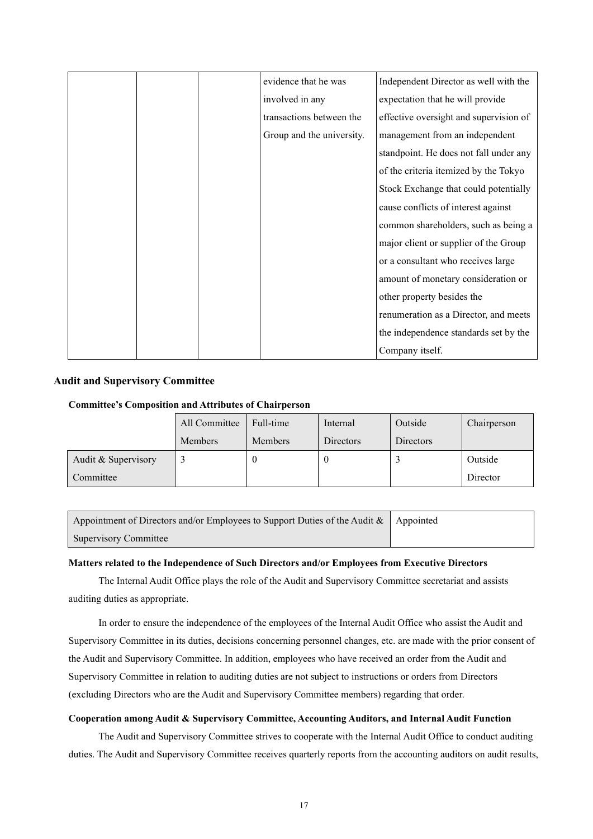|  | evidence that he was      | Independent Director as well with the  |
|--|---------------------------|----------------------------------------|
|  | involved in any           | expectation that he will provide       |
|  | transactions between the  | effective oversight and supervision of |
|  | Group and the university. | management from an independent         |
|  |                           | standpoint. He does not fall under any |
|  |                           | of the criteria itemized by the Tokyo  |
|  |                           | Stock Exchange that could potentially  |
|  |                           | cause conflicts of interest against    |
|  |                           | common shareholders, such as being a   |
|  |                           | major client or supplier of the Group  |
|  |                           | or a consultant who receives large     |
|  |                           | amount of monetary consideration or    |
|  |                           | other property besides the             |
|  |                           | renumeration as a Director, and meets  |
|  |                           | the independence standards set by the  |
|  |                           | Company itself.                        |

# **Audit and Supervisory Committee**

#### **Committee's Composition and Attributes of Chairperson**

|                     | All Committee  | Full-time      | Internal  | Outside          | Chairperson |
|---------------------|----------------|----------------|-----------|------------------|-------------|
|                     | <b>Members</b> | <b>Members</b> | Directors | <b>Directors</b> |             |
| Audit & Supervisory |                |                | $\theta$  |                  | Outside     |
| Committee           |                |                |           |                  | Director    |

| Appointment of Directors and/or Employees to Support Duties of the Audit $\&\;$ Appointed |  |
|-------------------------------------------------------------------------------------------|--|
| <b>Supervisory Committee</b>                                                              |  |

#### **Matters related to the Independence of Such Directors and/or Employees from Executive Directors**

The Internal Audit Office plays the role of the Audit and Supervisory Committee secretariat and assists auditing duties as appropriate.

In order to ensure the independence of the employees of the Internal Audit Office who assist the Audit and Supervisory Committee in its duties, decisions concerning personnel changes, etc. are made with the prior consent of the Audit and Supervisory Committee. In addition, employees who have received an order from the Audit and Supervisory Committee in relation to auditing duties are not subject to instructions or orders from Directors (excluding Directors who are the Audit and Supervisory Committee members) regarding that order.

### **Cooperation among Audit & Supervisory Committee, Accounting Auditors, and Internal Audit Function**

The Audit and Supervisory Committee strives to cooperate with the Internal Audit Office to conduct auditing duties. The Audit and Supervisory Committee receives quarterly reports from the accounting auditors on audit results,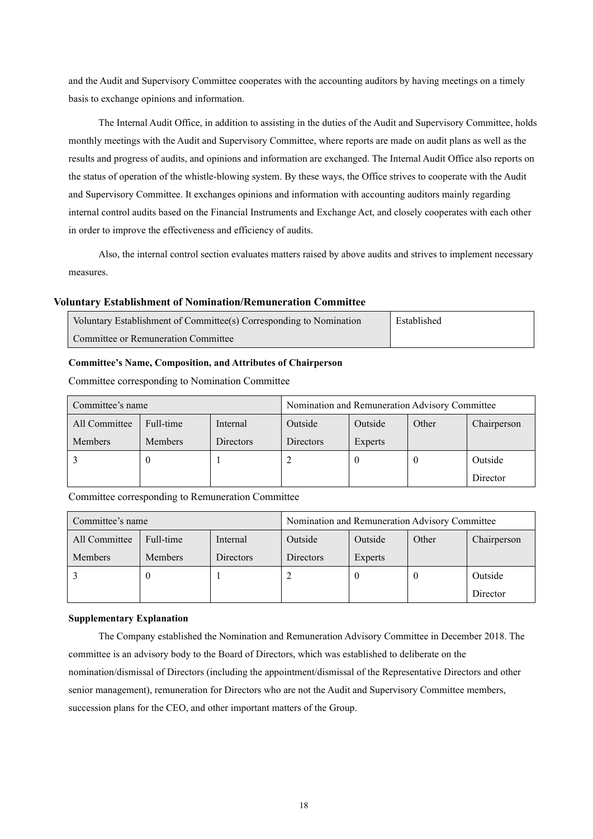and the Audit and Supervisory Committee cooperates with the accounting auditors by having meetings on a timely basis to exchange opinions and information.

The Internal Audit Office, in addition to assisting in the duties of the Audit and Supervisory Committee, holds monthly meetings with the Audit and Supervisory Committee, where reports are made on audit plans as well as the results and progress of audits, and opinions and information are exchanged. The Internal Audit Office also reports on the status of operation of the whistle-blowing system. By these ways, the Office strives to cooperate with the Audit and Supervisory Committee. It exchanges opinions and information with accounting auditors mainly regarding internal control audits based on the Financial Instruments and Exchange Act, and closely cooperates with each other in order to improve the effectiveness and efficiency of audits.

Also, the internal control section evaluates matters raised by above audits and strives to implement necessary measures.

### **Voluntary Establishment of Nomination/Remuneration Committee**

| Voluntary Establishment of Committee(s) Corresponding to Nomination | Established |
|---------------------------------------------------------------------|-------------|
| Committee or Remuneration Committee                                 |             |

## **Committee's Name, Composition, and Attributes of Chairperson**

| Committee's name |           |           | Nomination and Remuneration Advisory Committee |         |       |             |
|------------------|-----------|-----------|------------------------------------------------|---------|-------|-------------|
| All Committee    | Full-time | Internal  | Outside                                        | Outside | Other | Chairperson |
| <b>Members</b>   | Members   | Directors | Directors                                      | Experts |       |             |
|                  |           |           |                                                |         |       | Outside     |
|                  |           |           |                                                |         |       | Director    |

Committee corresponding to Nomination Committee

# Committee corresponding to Remuneration Committee

| Committee's name |                |           | Nomination and Remuneration Advisory Committee |         |       |             |
|------------------|----------------|-----------|------------------------------------------------|---------|-------|-------------|
| All Committee    | Full-time      | Internal  | Outside                                        | Outside | Other | Chairperson |
| Members          | <b>Members</b> | Directors | Directors                                      | Experts |       |             |
|                  |                |           |                                                | O       |       | Outside     |
|                  |                |           |                                                |         |       | Director    |

### **Supplementary Explanation**

The Company established the Nomination and Remuneration Advisory Committee in December 2018. The committee is an advisory body to the Board of Directors, which was established to deliberate on the nomination/dismissal of Directors (including the appointment/dismissal of the Representative Directors and other senior management), remuneration for Directors who are not the Audit and Supervisory Committee members, succession plans for the CEO, and other important matters of the Group.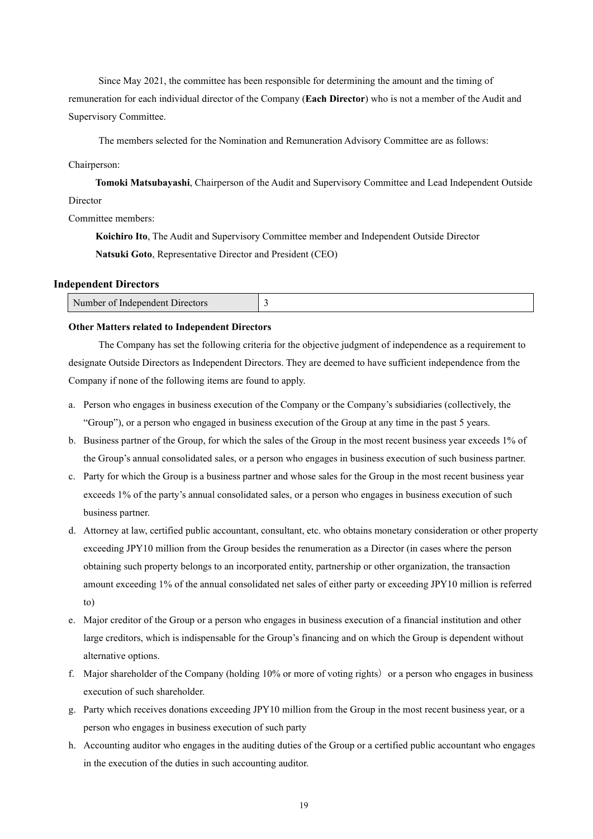Since May 2021, the committee has been responsible for determining the amount and the timing of remuneration for each individual director of the Company (**Each Director**) who is not a member of the Audit and Supervisory Committee.

The members selected for the Nomination and Remuneration Advisory Committee are as follows:

#### Chairperson:

**Tomoki Matsubayashi**, Chairperson of the Audit and Supervisory Committee and Lead Independent Outside Director

#### Committee members:

**Koichiro Ito**, The Audit and Supervisory Committee member and Independent Outside Director **Natsuki Goto**, Representative Director and President (CEO)

#### **Independent Directors**

| Number of<br>: Indenendent L<br>Ultrectors |  |
|--------------------------------------------|--|
|                                            |  |

#### **Other Matters related to Independent Directors**

The Company has set the following criteria for the objective judgment of independence as a requirement to designate Outside Directors as Independent Directors. They are deemed to have sufficient independence from the Company if none of the following items are found to apply.

- a. Person who engages in business execution of the Company or the Company's subsidiaries (collectively, the "Group"), or a person who engaged in business execution of the Group at any time in the past 5 years.
- b. Business partner of the Group, for which the sales of the Group in the most recent business year exceeds 1% of the Group's annual consolidated sales, or a person who engages in business execution of such business partner.
- c. Party for which the Group is a business partner and whose sales for the Group in the most recent business year exceeds 1% of the party's annual consolidated sales, or a person who engages in business execution of such business partner.
- d. Attorney at law, certified public accountant, consultant, etc. who obtains monetary consideration or other property exceeding JPY10 million from the Group besides the renumeration as a Director (in cases where the person obtaining such property belongs to an incorporated entity, partnership or other organization, the transaction amount exceeding 1% of the annual consolidated net sales of either party or exceeding JPY10 million is referred to)
- e. Major creditor of the Group or a person who engages in business execution of a financial institution and other large creditors, which is indispensable for the Group's financing and on which the Group is dependent without alternative options.
- f. Major shareholder of the Company (holding  $10\%$  or more of voting rights) or a person who engages in business execution of such shareholder.
- g. Party which receives donations exceeding JPY10 million from the Group in the most recent business year, or a person who engages in business execution of such party
- h. Accounting auditor who engages in the auditing duties of the Group or a certified public accountant who engages in the execution of the duties in such accounting auditor.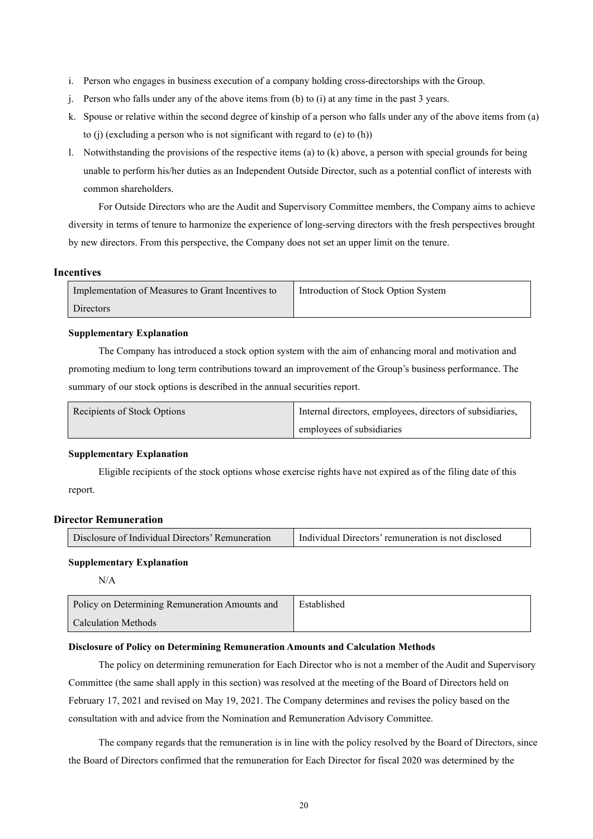- i. Person who engages in business execution of a company holding cross-directorships with the Group.
- j. Person who falls under any of the above items from (b) to (i) at any time in the past 3 years.
- k. Spouse or relative within the second degree of kinship of a person who falls under any of the above items from (a) to (j) (excluding a person who is not significant with regard to (e) to (h))
- l. Notwithstanding the provisions of the respective items (a) to (k) above, a person with special grounds for being unable to perform his/her duties as an Independent Outside Director, such as a potential conflict of interests with common shareholders.

For Outside Directors who are the Audit and Supervisory Committee members, the Company aims to achieve diversity in terms of tenure to harmonize the experience of long-serving directors with the fresh perspectives brought by new directors. From this perspective, the Company does not set an upper limit on the tenure.

#### **Incentives**

| Implementation of Measures to Grant Incentives to | Introduction of Stock Option System |
|---------------------------------------------------|-------------------------------------|
| <b>Directors</b>                                  |                                     |

## **Supplementary Explanation**

The Company has introduced a stock option system with the aim of enhancing moral and motivation and promoting medium to long term contributions toward an improvement of the Group's business performance. The summary of our stock options is described in the annual securities report.

| Recipients of Stock Options | Internal directors, employees, directors of subsidiaries, |
|-----------------------------|-----------------------------------------------------------|
|                             | employees of subsidiaries                                 |

#### **Supplementary Explanation**

Eligible recipients of the stock options whose exercise rights have not expired as of the filing date of this report.

# **Director Remuneration**

| Disclosure of Individual Directors' Remuneration | I Individual Directors' remuneration is not disclosed |
|--------------------------------------------------|-------------------------------------------------------|
|--------------------------------------------------|-------------------------------------------------------|

#### **Supplementary Explanation**

 $N/A$ 

| Policy on Determining Remuneration Amounts and | Established |
|------------------------------------------------|-------------|
| Calculation Methods                            |             |

#### **Disclosure of Policy on Determining Remuneration Amounts and Calculation Methods**

The policy on determining remuneration for Each Director who is not a member of the Audit and Supervisory Committee (the same shall apply in this section) was resolved at the meeting of the Board of Directors held on February 17, 2021 and revised on May 19, 2021. The Company determines and revises the policy based on the consultation with and advice from the Nomination and Remuneration Advisory Committee.

The company regards that the remuneration is in line with the policy resolved by the Board of Directors, since the Board of Directors confirmed that the remuneration for Each Director for fiscal 2020 was determined by the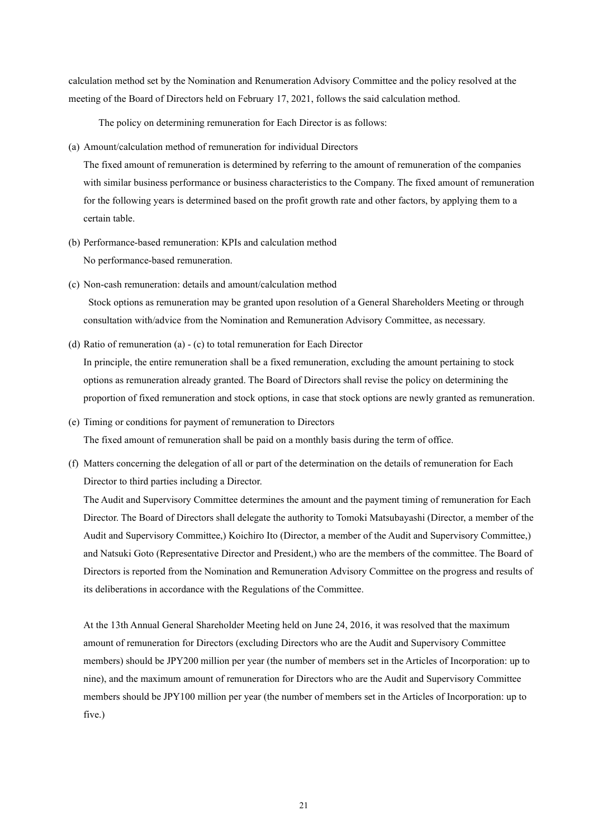calculation method set by the Nomination and Renumeration Advisory Committee and the policy resolved at the meeting of the Board of Directors held on February 17, 2021, follows the said calculation method.

The policy on determining remuneration for Each Director is as follows:

(a) Amount/calculation method of remuneration for individual Directors

The fixed amount of remuneration is determined by referring to the amount of remuneration of the companies with similar business performance or business characteristics to the Company. The fixed amount of remuneration for the following years is determined based on the profit growth rate and other factors, by applying them to a certain table.

- (b) Performance-based remuneration: KPIs and calculation method No performance-based remuneration.
- (c) Non-cash remuneration: details and amount/calculation method Stock options as remuneration may be granted upon resolution of a General Shareholders Meeting or through consultation with/advice from the Nomination and Remuneration Advisory Committee, as necessary.
- (d) Ratio of remuneration (a) (c) to total remuneration for Each Director In principle, the entire remuneration shall be a fixed remuneration, excluding the amount pertaining to stock options as remuneration already granted. The Board of Directors shall revise the policy on determining the proportion of fixed remuneration and stock options, in case that stock options are newly granted as remuneration.
- (e) Timing or conditions for payment of remuneration to Directors The fixed amount of remuneration shall be paid on a monthly basis during the term of office.
- (f) Matters concerning the delegation of all or part of the determination on the details of remuneration for Each Director to third parties including a Director.

The Audit and Supervisory Committee determines the amount and the payment timing of remuneration for Each Director. The Board of Directors shall delegate the authority to Tomoki Matsubayashi (Director, a member of the Audit and Supervisory Committee,) Koichiro Ito (Director, a member of the Audit and Supervisory Committee,) and Natsuki Goto (Representative Director and President,) who are the members of the committee. The Board of Directors is reported from the Nomination and Remuneration Advisory Committee on the progress and results of its deliberations in accordance with the Regulations of the Committee.

At the 13th Annual General Shareholder Meeting held on June 24, 2016, it was resolved that the maximum amount of remuneration for Directors (excluding Directors who are the Audit and Supervisory Committee members) should be JPY200 million per year (the number of members set in the Articles of Incorporation: up to nine), and the maximum amount of remuneration for Directors who are the Audit and Supervisory Committee members should be JPY100 million per year (the number of members set in the Articles of Incorporation: up to five.)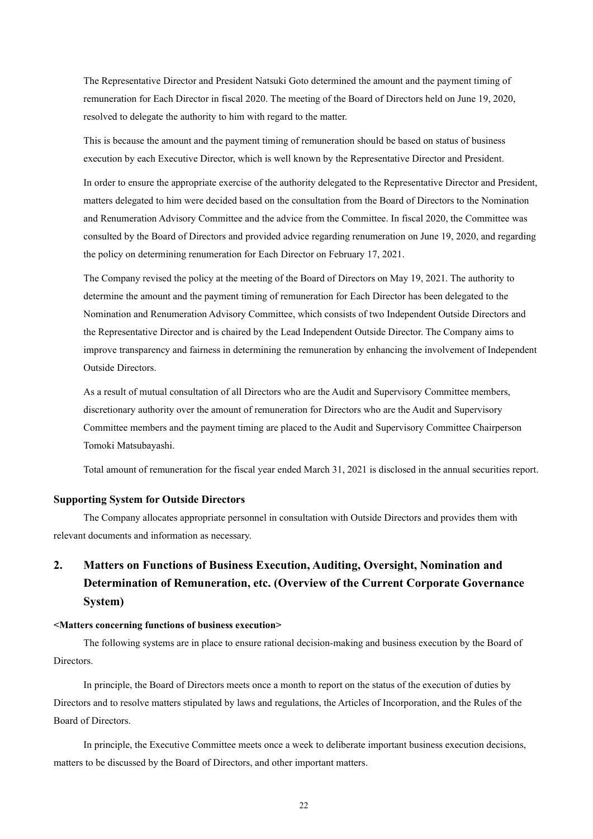The Representative Director and President Natsuki Goto determined the amount and the payment timing of remuneration for Each Director in fiscal 2020. The meeting of the Board of Directors held on June 19, 2020, resolved to delegate the authority to him with regard to the matter.

This is because the amount and the payment timing of remuneration should be based on status of business execution by each Executive Director, which is well known by the Representative Director and President.

In order to ensure the appropriate exercise of the authority delegated to the Representative Director and President, matters delegated to him were decided based on the consultation from the Board of Directors to the Nomination and Renumeration Advisory Committee and the advice from the Committee. In fiscal 2020, the Committee was consulted by the Board of Directors and provided advice regarding renumeration on June 19, 2020, and regarding the policy on determining renumeration for Each Director on February 17, 2021.

The Company revised the policy at the meeting of the Board of Directors on May 19, 2021. The authority to determine the amount and the payment timing of remuneration for Each Director has been delegated to the Nomination and Renumeration Advisory Committee, which consists of two Independent Outside Directors and the Representative Director and is chaired by the Lead Independent Outside Director. The Company aims to improve transparency and fairness in determining the remuneration by enhancing the involvement of Independent Outside Directors.

As a result of mutual consultation of all Directors who are the Audit and Supervisory Committee members, discretionary authority over the amount of remuneration for Directors who are the Audit and Supervisory Committee members and the payment timing are placed to the Audit and Supervisory Committee Chairperson Tomoki Matsubayashi.

Total amount of remuneration for the fiscal year ended March 31, 2021 is disclosed in the annual securities report.

#### **Supporting System for Outside Directors**

The Company allocates appropriate personnel in consultation with Outside Directors and provides them with relevant documents and information as necessary.

# **2. Matters on Functions of Business Execution, Auditing, Oversight, Nomination and Determination of Remuneration, etc. (Overview of the Current Corporate Governance System)**

#### **<Matters concerning functions of business execution>**

The following systems are in place to ensure rational decision-making and business execution by the Board of Directors.

In principle, the Board of Directors meets once a month to report on the status of the execution of duties by Directors and to resolve matters stipulated by laws and regulations, the Articles of Incorporation, and the Rules of the Board of Directors.

In principle, the Executive Committee meets once a week to deliberate important business execution decisions, matters to be discussed by the Board of Directors, and other important matters.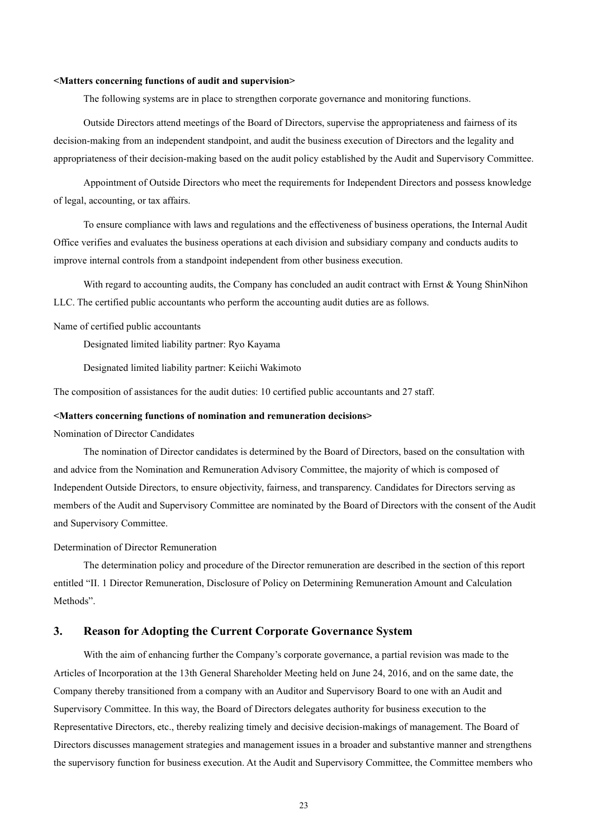#### **<Matters concerning functions of audit and supervision>**

The following systems are in place to strengthen corporate governance and monitoring functions.

Outside Directors attend meetings of the Board of Directors, supervise the appropriateness and fairness of its decision-making from an independent standpoint, and audit the business execution of Directors and the legality and appropriateness of their decision-making based on the audit policy established by the Audit and Supervisory Committee.

Appointment of Outside Directors who meet the requirements for Independent Directors and possess knowledge of legal, accounting, or tax affairs.

To ensure compliance with laws and regulations and the effectiveness of business operations, the Internal Audit Office verifies and evaluates the business operations at each division and subsidiary company and conducts audits to improve internal controls from a standpoint independent from other business execution.

With regard to accounting audits, the Company has concluded an audit contract with Ernst & Young ShinNihon LLC. The certified public accountants who perform the accounting audit duties are as follows.

Name of certified public accountants

Designated limited liability partner: Ryo Kayama

Designated limited liability partner: Keiichi Wakimoto

The composition of assistances for the audit duties: 10 certified public accountants and 27 staff.

#### **<Matters concerning functions of nomination and remuneration decisions>**

Nomination of Director Candidates

The nomination of Director candidates is determined by the Board of Directors, based on the consultation with and advice from the Nomination and Remuneration Advisory Committee, the majority of which is composed of Independent Outside Directors, to ensure objectivity, fairness, and transparency. Candidates for Directors serving as members of the Audit and Supervisory Committee are nominated by the Board of Directors with the consent of the Audit and Supervisory Committee.

#### Determination of Director Remuneration

The determination policy and procedure of the Director remuneration are described in the section of this report entitled "II. 1 Director Remuneration, Disclosure of Policy on Determining Remuneration Amount and Calculation Methods".

# **3. Reason for Adopting the Current Corporate Governance System**

With the aim of enhancing further the Company's corporate governance, a partial revision was made to the Articles of Incorporation at the 13th General Shareholder Meeting held on June 24, 2016, and on the same date, the Company thereby transitioned from a company with an Auditor and Supervisory Board to one with an Audit and Supervisory Committee. In this way, the Board of Directors delegates authority for business execution to the Representative Directors, etc., thereby realizing timely and decisive decision-makings of management. The Board of Directors discusses management strategies and management issues in a broader and substantive manner and strengthens the supervisory function for business execution. At the Audit and Supervisory Committee, the Committee members who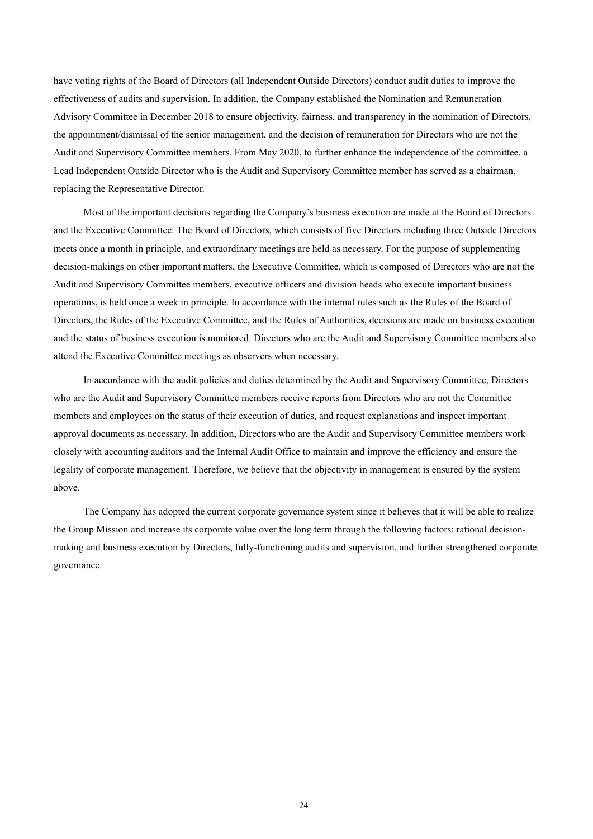have voting rights of the Board of Directors (all Independent Outside Directors) conduct audit duties to improve the effectiveness of audits and supervision. In addition, the Company established the Nomination and Remuneration Advisory Committee in December 2018 to ensure objectivity, fairness, and transparency in the nomination of Directors, the appointment/dismissal of the senior management, and the decision of remuneration for Directors who are not the Audit and Supervisory Committee members. From May 2020, to further enhance the independence of the committee, a Lead Independent Outside Director who is the Audit and Supervisory Committee member has served as a chairman, replacing the Representative Director.

Most of the important decisions regarding the Company's business execution are made at the Board of Directors and the Executive Committee. The Board of Directors, which consists of five Directors including three Outside Directors meets once a month in principle, and extraordinary meetings are held as necessary. For the purpose of supplementing decision-makings on other important matters, the Executive Committee, which is composed of Directors who are not the Audit and Supervisory Committee members, executive officers and division heads who execute important business operations, is held once a week in principle. In accordance with the internal rules such as the Rules of the Board of Directors, the Rules of the Executive Committee, and the Rules of Authorities, decisions are made on business execution and the status of business execution is monitored. Directors who are the Audit and Supervisory Committee members also attend the Executive Committee meetings as observers when necessary.

In accordance with the audit policies and duties determined by the Audit and Supervisory Committee, Directors who are the Audit and Supervisory Committee members receive reports from Directors who are not the Committee members and employees on the status of their execution of duties, and request explanations and inspect important approval documents as necessary. In addition, Directors who are the Audit and Supervisory Committee members work closely with accounting auditors and the Internal Audit Office to maintain and improve the efficiency and ensure the legality of corporate management. Therefore, we believe that the objectivity in management is ensured by the system above.

The Company has adopted the current corporate governance system since it believes that it will be able to realize the Group Mission and increase its corporate value over the long term through the following factors: rational decisionmaking and business execution by Directors, fully-functioning audits and supervision, and further strengthened corporate governance.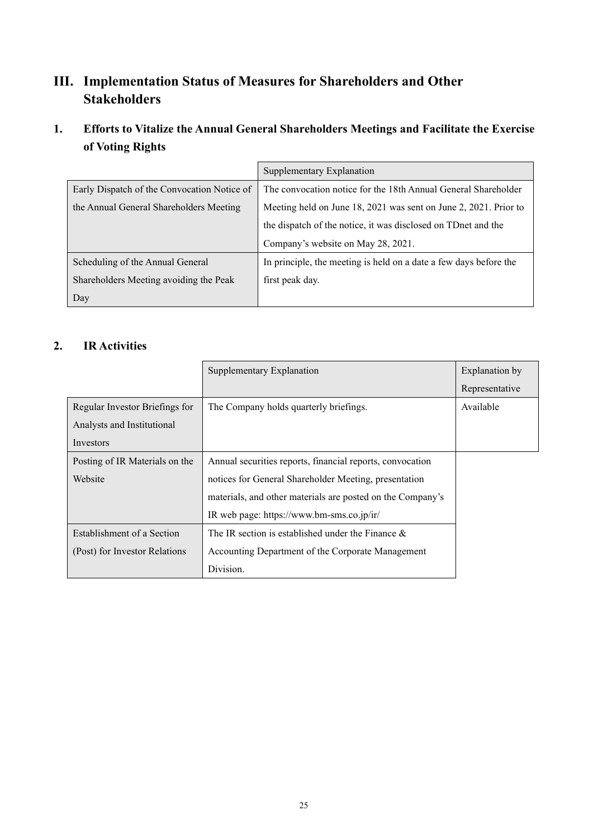# **III. Implementation Status of Measures for Shareholders and Other Stakeholders**

# **1. Efforts to Vitalize the Annual General Shareholders Meetings and Facilitate the Exercise of Voting Rights**

|                                             | Supplementary Explanation                                         |
|---------------------------------------------|-------------------------------------------------------------------|
| Early Dispatch of the Convocation Notice of | The convocation notice for the 18th Annual General Shareholder    |
| the Annual General Shareholders Meeting     | Meeting held on June 18, 2021 was sent on June 2, 2021. Prior to  |
|                                             | the dispatch of the notice, it was disclosed on TDnet and the     |
|                                             | Company's website on May 28, 2021.                                |
| Scheduling of the Annual General            | In principle, the meeting is held on a date a few days before the |
| Shareholders Meeting avoiding the Peak      | first peak day.                                                   |
| Day                                         |                                                                   |

# **2. IR Activities**

|                                | Supplementary Explanation                                  | Explanation by |
|--------------------------------|------------------------------------------------------------|----------------|
|                                |                                                            | Representative |
| Regular Investor Briefings for | The Company holds quarterly briefings.                     | Available      |
| Analysts and Institutional     |                                                            |                |
| Investors                      |                                                            |                |
| Posting of IR Materials on the | Annual securities reports, financial reports, convocation  |                |
| Website                        | notices for General Shareholder Meeting, presentation      |                |
|                                | materials, and other materials are posted on the Company's |                |
|                                | IR web page: https://www.bm-sms.co.jp/ir/                  |                |
| Establishment of a Section     | The IR section is established under the Finance $\&$       |                |
| (Post) for Investor Relations  | Accounting Department of the Corporate Management          |                |
|                                | Division.                                                  |                |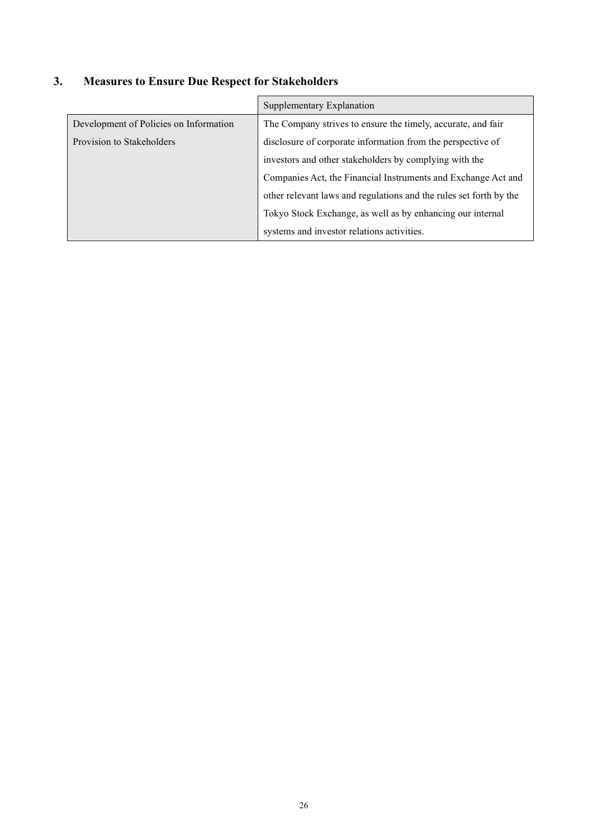| 3. |  |  | <b>Measures to Ensure Due Respect for Stakeholders</b> |
|----|--|--|--------------------------------------------------------|
|    |  |  |                                                        |

|                                        | Supplementary Explanation                                          |  |  |
|----------------------------------------|--------------------------------------------------------------------|--|--|
| Development of Policies on Information | The Company strives to ensure the timely, accurate, and fair       |  |  |
| Provision to Stakeholders              | disclosure of corporate information from the perspective of        |  |  |
|                                        | investors and other stakeholders by complying with the             |  |  |
|                                        | Companies Act, the Financial Instruments and Exchange Act and      |  |  |
|                                        | other relevant laws and regulations and the rules set forth by the |  |  |
|                                        | Tokyo Stock Exchange, as well as by enhancing our internal         |  |  |
|                                        | systems and investor relations activities.                         |  |  |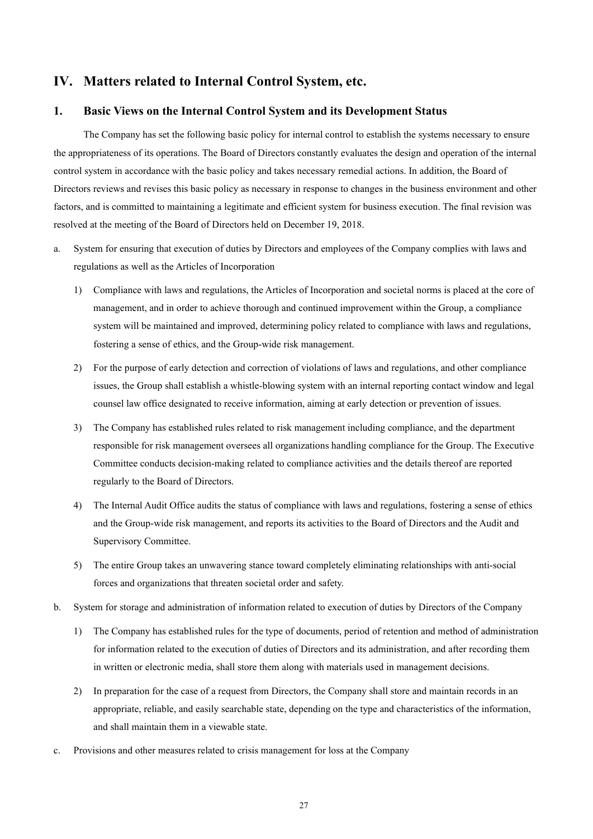# **IV. Matters related to Internal Control System, etc.**

### **1. Basic Views on the Internal Control System and its Development Status**

The Company has set the following basic policy for internal control to establish the systems necessary to ensure the appropriateness of its operations. The Board of Directors constantly evaluates the design and operation of the internal control system in accordance with the basic policy and takes necessary remedial actions. In addition, the Board of Directors reviews and revises this basic policy as necessary in response to changes in the business environment and other factors, and is committed to maintaining a legitimate and efficient system for business execution. The final revision was resolved at the meeting of the Board of Directors held on December 19, 2018.

- a. System for ensuring that execution of duties by Directors and employees of the Company complies with laws and regulations as well as the Articles of Incorporation
	- 1) Compliance with laws and regulations, the Articles of Incorporation and societal norms is placed at the core of management, and in order to achieve thorough and continued improvement within the Group, a compliance system will be maintained and improved, determining policy related to compliance with laws and regulations, fostering a sense of ethics, and the Group-wide risk management.
	- 2) For the purpose of early detection and correction of violations of laws and regulations, and other compliance issues, the Group shall establish a whistle-blowing system with an internal reporting contact window and legal counsel law office designated to receive information, aiming at early detection or prevention of issues.
	- 3) The Company has established rules related to risk management including compliance, and the department responsible for risk management oversees all organizations handling compliance for the Group. The Executive Committee conducts decision-making related to compliance activities and the details thereof are reported regularly to the Board of Directors.
	- 4) The Internal Audit Office audits the status of compliance with laws and regulations, fostering a sense of ethics and the Group-wide risk management, and reports its activities to the Board of Directors and the Audit and Supervisory Committee.
	- 5) The entire Group takes an unwavering stance toward completely eliminating relationships with anti-social forces and organizations that threaten societal order and safety.
- b. System for storage and administration of information related to execution of duties by Directors of the Company
	- 1) The Company has established rules for the type of documents, period of retention and method of administration for information related to the execution of duties of Directors and its administration, and after recording them in written or electronic media, shall store them along with materials used in management decisions.
	- 2) In preparation for the case of a request from Directors, the Company shall store and maintain records in an appropriate, reliable, and easily searchable state, depending on the type and characteristics of the information, and shall maintain them in a viewable state.
- c. Provisions and other measures related to crisis management for loss at the Company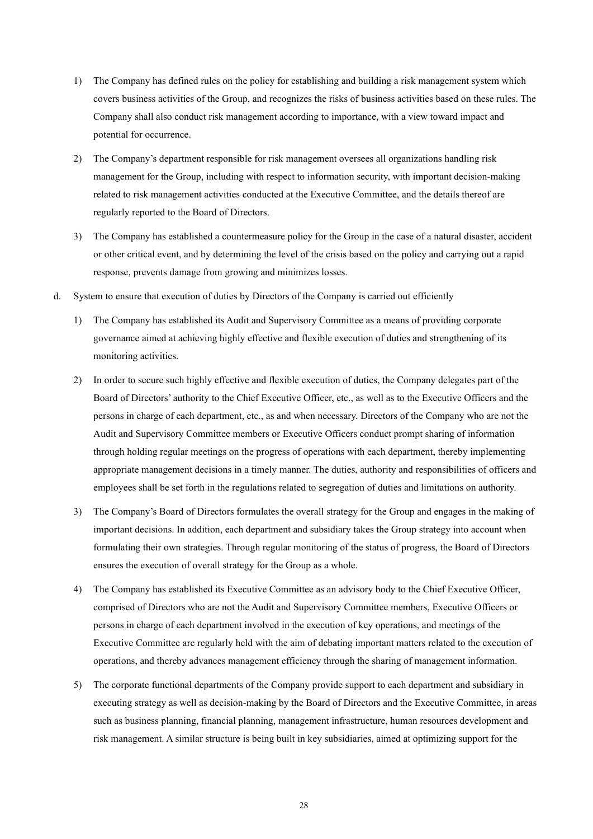- 1) The Company has defined rules on the policy for establishing and building a risk management system which covers business activities of the Group, and recognizes the risks of business activities based on these rules. The Company shall also conduct risk management according to importance, with a view toward impact and potential for occurrence.
- 2) The Company's department responsible for risk management oversees all organizations handling risk management for the Group, including with respect to information security, with important decision-making related to risk management activities conducted at the Executive Committee, and the details thereof are regularly reported to the Board of Directors.
- 3) The Company has established a countermeasure policy for the Group in the case of a natural disaster, accident or other critical event, and by determining the level of the crisis based on the policy and carrying out a rapid response, prevents damage from growing and minimizes losses.
- d. System to ensure that execution of duties by Directors of the Company is carried out efficiently
	- 1) The Company has established its Audit and Supervisory Committee as a means of providing corporate governance aimed at achieving highly effective and flexible execution of duties and strengthening of its monitoring activities.
	- 2) In order to secure such highly effective and flexible execution of duties, the Company delegates part of the Board of Directors' authority to the Chief Executive Officer, etc., as well as to the Executive Officers and the persons in charge of each department, etc., as and when necessary. Directors of the Company who are not the Audit and Supervisory Committee members or Executive Officers conduct prompt sharing of information through holding regular meetings on the progress of operations with each department, thereby implementing appropriate management decisions in a timely manner. The duties, authority and responsibilities of officers and employees shall be set forth in the regulations related to segregation of duties and limitations on authority.
	- 3) The Company's Board of Directors formulates the overall strategy for the Group and engages in the making of important decisions. In addition, each department and subsidiary takes the Group strategy into account when formulating their own strategies. Through regular monitoring of the status of progress, the Board of Directors ensures the execution of overall strategy for the Group as a whole.
	- 4) The Company has established its Executive Committee as an advisory body to the Chief Executive Officer, comprised of Directors who are not the Audit and Supervisory Committee members, Executive Officers or persons in charge of each department involved in the execution of key operations, and meetings of the Executive Committee are regularly held with the aim of debating important matters related to the execution of operations, and thereby advances management efficiency through the sharing of management information.
	- 5) The corporate functional departments of the Company provide support to each department and subsidiary in executing strategy as well as decision-making by the Board of Directors and the Executive Committee, in areas such as business planning, financial planning, management infrastructure, human resources development and risk management. A similar structure is being built in key subsidiaries, aimed at optimizing support for the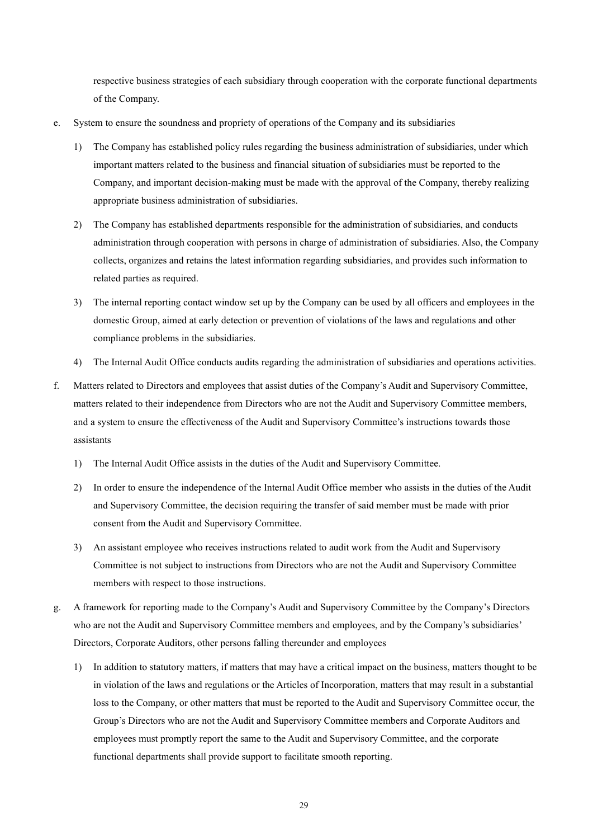respective business strategies of each subsidiary through cooperation with the corporate functional departments of the Company.

- e. System to ensure the soundness and propriety of operations of the Company and its subsidiaries
	- 1) The Company has established policy rules regarding the business administration of subsidiaries, under which important matters related to the business and financial situation of subsidiaries must be reported to the Company, and important decision-making must be made with the approval of the Company, thereby realizing appropriate business administration of subsidiaries.
	- 2) The Company has established departments responsible for the administration of subsidiaries, and conducts administration through cooperation with persons in charge of administration of subsidiaries. Also, the Company collects, organizes and retains the latest information regarding subsidiaries, and provides such information to related parties as required.
	- 3) The internal reporting contact window set up by the Company can be used by all officers and employees in the domestic Group, aimed at early detection or prevention of violations of the laws and regulations and other compliance problems in the subsidiaries.
	- 4) The Internal Audit Office conducts audits regarding the administration of subsidiaries and operations activities.
- f. Matters related to Directors and employees that assist duties of the Company's Audit and Supervisory Committee, matters related to their independence from Directors who are not the Audit and Supervisory Committee members, and a system to ensure the effectiveness of the Audit and Supervisory Committee's instructions towards those assistants
	- 1) The Internal Audit Office assists in the duties of the Audit and Supervisory Committee.
	- 2) In order to ensure the independence of the Internal Audit Office member who assists in the duties of the Audit and Supervisory Committee, the decision requiring the transfer of said member must be made with prior consent from the Audit and Supervisory Committee.
	- 3) An assistant employee who receives instructions related to audit work from the Audit and Supervisory Committee is not subject to instructions from Directors who are not the Audit and Supervisory Committee members with respect to those instructions.
- g. A framework for reporting made to the Company's Audit and Supervisory Committee by the Company's Directors who are not the Audit and Supervisory Committee members and employees, and by the Company's subsidiaries' Directors, Corporate Auditors, other persons falling thereunder and employees
	- 1) In addition to statutory matters, if matters that may have a critical impact on the business, matters thought to be in violation of the laws and regulations or the Articles of Incorporation, matters that may result in a substantial loss to the Company, or other matters that must be reported to the Audit and Supervisory Committee occur, the Group's Directors who are not the Audit and Supervisory Committee members and Corporate Auditors and employees must promptly report the same to the Audit and Supervisory Committee, and the corporate functional departments shall provide support to facilitate smooth reporting.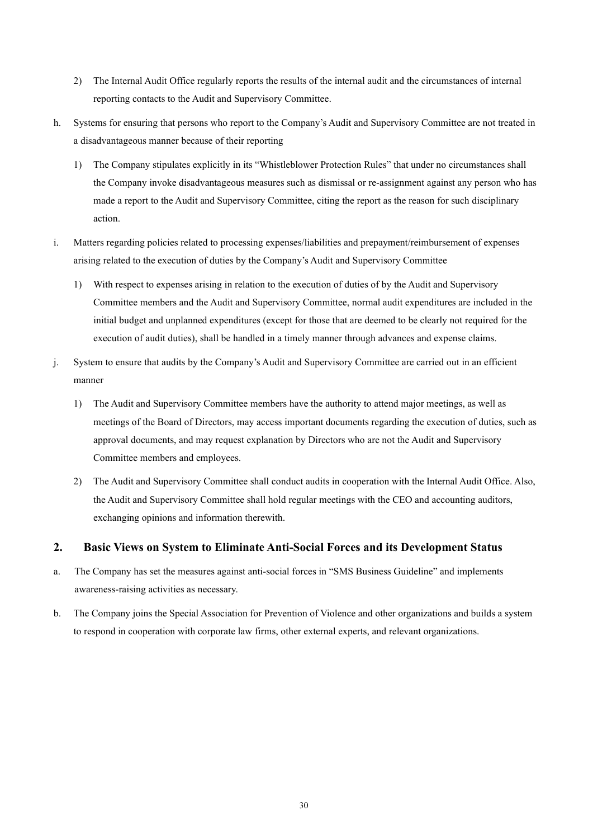- 2) The Internal Audit Office regularly reports the results of the internal audit and the circumstances of internal reporting contacts to the Audit and Supervisory Committee.
- h. Systems for ensuring that persons who report to the Company's Audit and Supervisory Committee are not treated in a disadvantageous manner because of their reporting
	- 1) The Company stipulates explicitly in its "Whistleblower Protection Rules" that under no circumstances shall the Company invoke disadvantageous measures such as dismissal or re-assignment against any person who has made a report to the Audit and Supervisory Committee, citing the report as the reason for such disciplinary action.
- i. Matters regarding policies related to processing expenses/liabilities and prepayment/reimbursement of expenses arising related to the execution of duties by the Company's Audit and Supervisory Committee
	- 1) With respect to expenses arising in relation to the execution of duties of by the Audit and Supervisory Committee members and the Audit and Supervisory Committee, normal audit expenditures are included in the initial budget and unplanned expenditures (except for those that are deemed to be clearly not required for the execution of audit duties), shall be handled in a timely manner through advances and expense claims.
- j. System to ensure that audits by the Company's Audit and Supervisory Committee are carried out in an efficient manner
	- 1) The Audit and Supervisory Committee members have the authority to attend major meetings, as well as meetings of the Board of Directors, may access important documents regarding the execution of duties, such as approval documents, and may request explanation by Directors who are not the Audit and Supervisory Committee members and employees.
	- 2) The Audit and Supervisory Committee shall conduct audits in cooperation with the Internal Audit Office. Also, the Audit and Supervisory Committee shall hold regular meetings with the CEO and accounting auditors, exchanging opinions and information therewith.

# **2. Basic Views on System to Eliminate Anti-Social Forces and its Development Status**

- a. The Company has set the measures against anti-social forces in "SMS Business Guideline" and implements awareness-raising activities as necessary.
- b. The Company joins the Special Association for Prevention of Violence and other organizations and builds a system to respond in cooperation with corporate law firms, other external experts, and relevant organizations.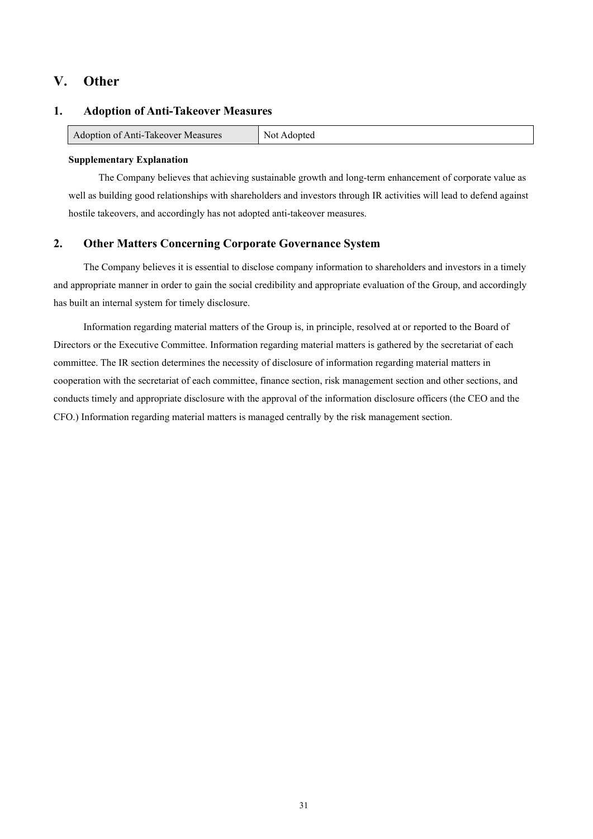# **V. Other**

### **1. Adoption of Anti-Takeover Measures**

| Adontion of Anti-Takeover<br>Measures<br>Not<br>aoni |
|------------------------------------------------------|
|------------------------------------------------------|

#### **Supplementary Explanation**

The Company believes that achieving sustainable growth and long-term enhancement of corporate value as well as building good relationships with shareholders and investors through IR activities will lead to defend against hostile takeovers, and accordingly has not adopted anti-takeover measures.

## **2. Other Matters Concerning Corporate Governance System**

The Company believes it is essential to disclose company information to shareholders and investors in a timely and appropriate manner in order to gain the social credibility and appropriate evaluation of the Group, and accordingly has built an internal system for timely disclosure.

Information regarding material matters of the Group is, in principle, resolved at or reported to the Board of Directors or the Executive Committee. Information regarding material matters is gathered by the secretariat of each committee. The IR section determines the necessity of disclosure of information regarding material matters in cooperation with the secretariat of each committee, finance section, risk management section and other sections, and conducts timely and appropriate disclosure with the approval of the information disclosure officers (the CEO and the CFO.) Information regarding material matters is managed centrally by the risk management section.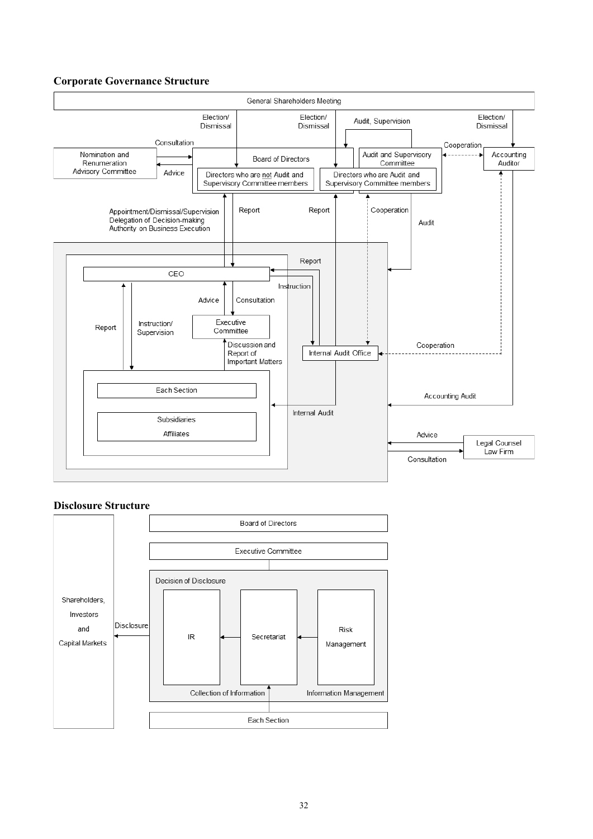# **Corporate Governance Structure**



### **Disclosure Structure**